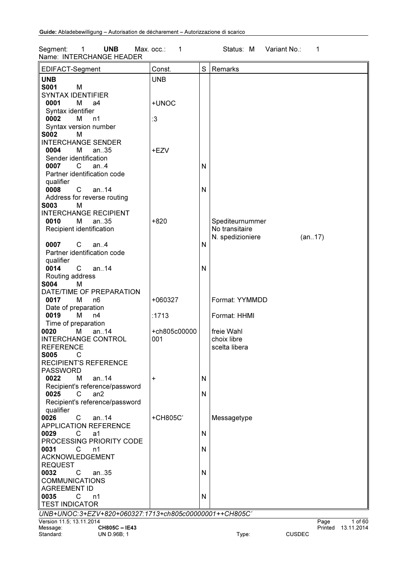Segment: 1 UNB Max. occ.: 1 Status: M Variant No.: 1 Name: INTERCHANGE HEADER

| EDIFACT-Segment                                        | Const.       | S | Remarks                      |  |  |
|--------------------------------------------------------|--------------|---|------------------------------|--|--|
| <b>UNB</b>                                             | <b>UNB</b>   |   |                              |  |  |
| <b>S001</b><br>M                                       |              |   |                              |  |  |
| <b>SYNTAX IDENTIFIER</b>                               |              |   |                              |  |  |
| 0001<br>М<br>a4                                        | +UNOC        |   |                              |  |  |
| Syntax identifier                                      |              |   |                              |  |  |
| 0002<br>м<br>n1                                        | :3           |   |                              |  |  |
| Syntax version number                                  |              |   |                              |  |  |
| <b>S002</b><br>М                                       |              |   |                              |  |  |
| <b>INTERCHANGE SENDER</b>                              |              |   |                              |  |  |
| 0004<br>M<br>an35                                      | +EZV         |   |                              |  |  |
| Sender identification                                  |              |   |                              |  |  |
| 0007<br>$\overline{C}$<br>an.4                         |              | N |                              |  |  |
| Partner identification code                            |              |   |                              |  |  |
| qualifier                                              |              |   |                              |  |  |
| 0008<br>$\mathsf{C}$<br>an14                           |              | N |                              |  |  |
| Address for reverse routing<br>S003<br>м               |              |   |                              |  |  |
| <b>INTERCHANGE RECIPIENT</b>                           |              |   |                              |  |  |
| 0010<br>м<br>an35                                      | $+820$       |   | Spediteurnummer              |  |  |
| Recipient identification                               |              |   | No transitaire               |  |  |
|                                                        |              |   | N. spedizioniere<br>(an17)   |  |  |
| $C$ an4<br>0007                                        |              | N |                              |  |  |
| Partner identification code                            |              |   |                              |  |  |
| qualifier                                              |              |   |                              |  |  |
| 0014<br>C an14                                         |              | N |                              |  |  |
| Routing address                                        |              |   |                              |  |  |
| <b>S004</b><br>м                                       |              |   |                              |  |  |
| DATE/TIME OF PREPARATION                               |              |   |                              |  |  |
| М<br>0017<br>n <sub>6</sub>                            | +060327      |   | Format: YYMMDD               |  |  |
| Date of preparation                                    |              |   |                              |  |  |
| 0019<br>м<br>n4                                        | :1713        |   | Format: HHMI                 |  |  |
| Time of preparation                                    |              |   |                              |  |  |
| an14<br>0020<br>м                                      | +ch805c00000 |   | freie Wahl                   |  |  |
| <b>INTERCHANGE CONTROL</b><br><b>REFERENCE</b>         | 001          |   | choix libre<br>scelta libera |  |  |
| <b>S005</b><br>C                                       |              |   |                              |  |  |
| <b>RECIPIENT'S REFERENCE</b>                           |              |   |                              |  |  |
| <b>PASSWORD</b>                                        |              |   |                              |  |  |
| 0022<br>М<br>an14                                      | +            | N |                              |  |  |
| Recipient's reference/password                         |              |   |                              |  |  |
| 0025<br>C<br>an2                                       |              | N |                              |  |  |
| Recipient's reference/password                         |              |   |                              |  |  |
| qualifier                                              |              |   |                              |  |  |
| 0026<br>$\mathsf{C}$<br>an.14                          | +CH805C'     |   | Messagetype                  |  |  |
| <b>APPLICATION REFERENCE</b>                           |              |   |                              |  |  |
| 0029<br>C<br>a1                                        |              | N |                              |  |  |
| PROCESSING PRIORITY CODE                               |              |   |                              |  |  |
| 0031<br>C<br>n1                                        |              | N |                              |  |  |
| ACKNOWLEDGEMENT                                        |              |   |                              |  |  |
| <b>REQUEST</b><br>0032<br>C                            |              |   |                              |  |  |
| an $.35$<br><b>COMMUNICATIONS</b>                      |              | N |                              |  |  |
| <b>AGREEMENT ID</b>                                    |              |   |                              |  |  |
| 0035<br>C<br>n1                                        |              | N |                              |  |  |
| <b>TEST INDICATOR</b>                                  |              |   |                              |  |  |
| UNB+UNOC:3+EZV+820+060327:1713+ch805c00000001++CH805C' |              |   |                              |  |  |
| Version 11.5; 13.11.2014                               |              |   | Page<br>1 of 60              |  |  |
| CH805C-IE43<br>Message:                                |              |   | Printed 13.11.2014           |  |  |

Standard: UN D.96B; 1 The CUSDEC Standard: UN D.96B; 1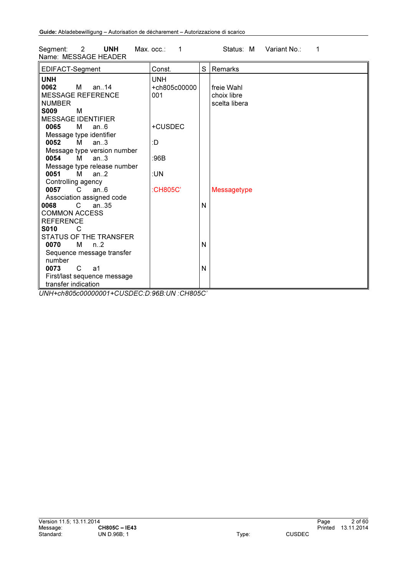Segment: 2 UNH Max. occ.: 1 Status: M Variant No.: 1 Name: MESSAGE HEADER

| EDIFACT-Segment                | Const.       | S | Remarks            |
|--------------------------------|--------------|---|--------------------|
| <b>UNH</b>                     | <b>UNH</b>   |   |                    |
| 0062<br>M<br>an. $14$          | +ch805c00000 |   | freie Wahl         |
| <b>MESSAGE REFERENCE</b>       | 001          |   | choix libre        |
| <b>NUMBER</b>                  |              |   | scelta libera      |
| <b>S009</b><br>м               |              |   |                    |
| <b>MESSAGE IDENTIFIER</b>      |              |   |                    |
| 0065<br>м<br>an.6              | +CUSDEC      |   |                    |
| Message type identifier        |              |   |                    |
| 0052<br>M<br>an.3              | :D           |   |                    |
| Message type version number    |              |   |                    |
| 0054<br>М<br>an $\mathbf{3}$   | :96B         |   |                    |
| Message type release number    |              |   |                    |
| 0051<br>M<br>an.2              | :UN          |   |                    |
| Controlling agency             |              |   |                    |
| 0057<br>an.6<br>$\overline{C}$ | :CH805C'     |   | <b>Messagetype</b> |
| Association assigned code      |              |   |                    |
| 8900<br>C.<br>an $.35$         |              | N |                    |
| <b>COMMON ACCESS</b>           |              |   |                    |
|                                |              |   |                    |
| <b>REFERENCE</b>               |              |   |                    |
| <b>S010</b><br>C               |              |   |                    |
| STATUS OF THE TRANSFER         |              |   |                    |
| 0070<br>M<br>$n_{\cdot}2$      |              | N |                    |
| Sequence message transfer      |              |   |                    |
| number                         |              |   |                    |
| 0073<br>$\mathsf{C}$<br>a1     |              | N |                    |
| First/last sequence message    |              |   |                    |
| transfer indication            |              |   |                    |

*UNH+ch805c00000001+CUSDEC:D:96B:UN :CH805C'*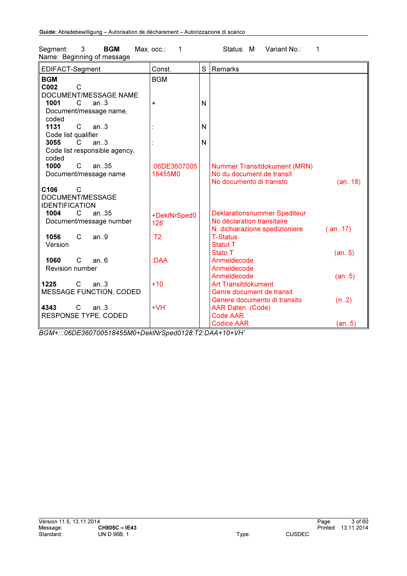| EDIFACT-Segment                | Const.       | S | Remarks                             |        |
|--------------------------------|--------------|---|-------------------------------------|--------|
| <b>BGM</b>                     | <b>BGM</b>   |   |                                     |        |
| C002<br>C                      |              |   |                                     |        |
| DOCUMENT/MESSAGE NAME          |              |   |                                     |        |
| 1001<br>C<br>an.3              | $\ddot{}$    | N |                                     |        |
| Document/message name,         |              |   |                                     |        |
| coded                          |              |   |                                     |        |
| 1131<br>C<br>an.3              |              | N |                                     |        |
| Code list qualifier            |              |   |                                     |        |
| 3055<br>C.<br>an.3             |              | N |                                     |        |
| Code list responsible agency,  |              |   |                                     |        |
| coded                          |              |   |                                     |        |
| 1000<br>C<br>an.35             | :06DE3607005 |   | Nummer Transitdokument (MRN)        |        |
| Document/message name          | 18455M0      |   | No du document de transit           |        |
|                                |              |   | No documento di tranisto            | (an18) |
| C106<br>C                      |              |   |                                     |        |
| DOCUMENT/MESSAGE               |              |   |                                     |        |
| <b>IDENTIFICATION</b>          |              |   |                                     |        |
| an35<br>C<br>1004              | +DeklNrSped0 |   | <b>Deklarationsnummer Spediteur</b> |        |
| Document/message number        | 128'         |   | No déclaration transitaire          |        |
|                                |              |   | N. dichiarazione spedizioniere      | (an17) |
| 1056<br>C<br>an.9              | T2           |   | <b>T-Status</b>                     |        |
| Version                        |              |   | Statut T                            |        |
|                                |              |   | Stato T                             | (an5)  |
| 1060<br>C<br>an.6              | :DAA         |   | Anmeldecode                         |        |
| <b>Revision number</b>         |              |   | Anmeldecode                         |        |
|                                |              |   | Anmeldecode                         | (an5)  |
| 1225<br>$\mathsf{C}$<br>an.3   | $+10$        |   | <b>Art Transitdokument</b>          |        |
| <b>MESSAGE FUNCTION, CODED</b> |              |   | Genre document de transit           |        |
|                                |              |   | Genere documento di transito        | (n.2)  |
| 4343<br>C<br>an.3              | $+VH'$       |   | <b>AAR Daten (Code)</b>             |        |
| RESPONSE TYPE, CODED           |              |   | <b>Code AAR</b>                     |        |
|                                |              |   | <b>Codice AAR</b>                   | (an5)  |

Segment: 3 BGM Max. occ.: 1 Status: M Variant No.: 1 Name: Beginning of message

*BGM+:::06DE360700518455M0+DeklNrSped0128:T2:DAA+10+VH'*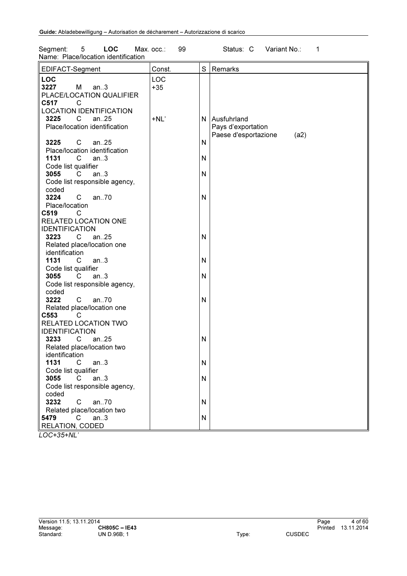| <b>LOC</b><br>Segment:<br>5<br>Name: Place/location identification                       | 99<br>Max. occ.: |           | Status: C<br>Variant No.:<br>1                                      |
|------------------------------------------------------------------------------------------|------------------|-----------|---------------------------------------------------------------------|
| EDIFACT-Segment                                                                          | Const.           | S         | Remarks                                                             |
| <b>LOC</b><br>3227<br>M<br>an.3<br>PLACE/LOCATION QUALIFIER<br>C517<br>C                 | LOC<br>$+35$     |           |                                                                     |
| <b>LOCATION IDENTIFICATION</b><br>3225<br>an $.25$<br>C<br>Place/location identification | $+NL'$           |           | N Ausfuhrland<br>Pays d'exportation<br>Paese d'esportazione<br>(a2) |
| 3225<br>C<br>an25<br>Place/location identification                                       |                  | N         |                                                                     |
| $\mathsf{C}$<br>1131<br>an.3<br>Code list qualifier                                      |                  | N         |                                                                     |
| 3055<br>C<br>an.3<br>Code list responsible agency,<br>coded                              |                  | N         |                                                                     |
| an70<br>3224<br>C<br>Place/location                                                      |                  | N         |                                                                     |
| C519<br>C<br>RELATED LOCATION ONE                                                        |                  |           |                                                                     |
| <b>IDENTIFICATION</b><br>$\mathsf{C}$<br>an25<br>3223<br>Related place/location one      |                  | N         |                                                                     |
| identification<br>1131<br>C<br>an.3                                                      |                  | N         |                                                                     |
| Code list qualifier<br>an.3<br>3055<br>C.<br>Code list responsible agency,<br>coded      |                  | N         |                                                                     |
| 3222<br>C<br>an70<br>Related place/location one<br>C553<br>C                             |                  | ${\sf N}$ |                                                                     |
| RELATED LOCATION TWO<br><b>IDENTIFICATION</b>                                            |                  |           |                                                                     |
| an25<br>3233<br>С<br>Related place/location two<br>identification                        |                  | N         |                                                                     |
| 1131<br>C<br>an.3<br>Code list qualifier                                                 |                  | N         |                                                                     |
| 3055<br>an.3<br>C.<br>Code list responsible agency,<br>coded                             |                  | N         |                                                                     |
| 3232<br>an.70<br>C.<br>Related place/location two                                        |                  | N         |                                                                     |
| $\mathbf{C}$<br>5479<br>an.3<br><b>RELATION, CODED</b>                                   |                  | N         |                                                                     |

*LOC+35+NL'*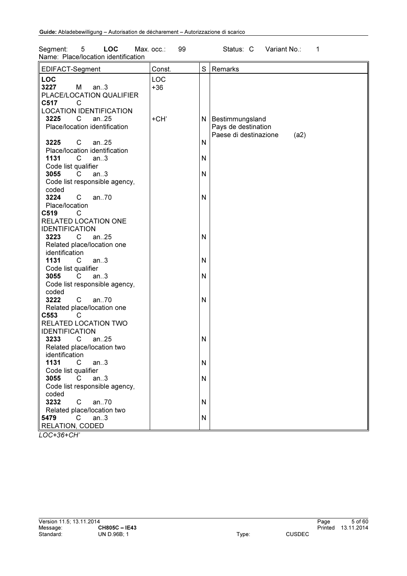| <b>LOC</b><br>Segment:<br>5<br>Name: Place/location identification                       | 99<br>Max. occ.: |           | Status: C<br>Variant No.:<br>1                                              |
|------------------------------------------------------------------------------------------|------------------|-----------|-----------------------------------------------------------------------------|
| EDIFACT-Segment                                                                          | Const.           | S         | Remarks                                                                     |
| <b>LOC</b><br>3227<br>M<br>an.3<br>PLACE/LOCATION QUALIFIER<br>C517<br>C                 | LOC<br>$+36$     |           |                                                                             |
| <b>LOCATION IDENTIFICATION</b><br>3225<br>an $.25$<br>C<br>Place/location identification | +CH'             |           | N   Bestimmungsland<br>Pays de destination<br>Paese di destinazione<br>(a2) |
| 3225<br>C<br>an25<br>Place/location identification                                       |                  | N         |                                                                             |
| $\mathsf{C}$<br>1131<br>an.3<br>Code list qualifier                                      |                  | N         |                                                                             |
| 3055<br>C<br>an.3<br>Code list responsible agency,<br>coded                              |                  | N         |                                                                             |
| 3224<br>C<br>an70<br>Place/location                                                      |                  | N         |                                                                             |
| C519<br>C<br>RELATED LOCATION ONE<br><b>IDENTIFICATION</b>                               |                  |           |                                                                             |
| $\mathsf{C}$<br>an25<br>3223<br>Related place/location one<br>identification             |                  | N         |                                                                             |
| 1131<br>C<br>an.3<br>Code list qualifier                                                 |                  | N         |                                                                             |
| an.3<br>3055<br>C.<br>Code list responsible agency,<br>coded                             |                  | N         |                                                                             |
| 3222<br>C<br>an70<br>Related place/location one<br>C553<br>C                             |                  | ${\sf N}$ |                                                                             |
| RELATED LOCATION TWO<br><b>IDENTIFICATION</b>                                            |                  |           |                                                                             |
| an25<br>3233<br>С<br>Related place/location two<br>identification                        |                  | N         |                                                                             |
| 1131<br>C<br>an.3<br>Code list qualifier                                                 |                  | N         |                                                                             |
| 3055<br>an.3<br>C.<br>Code list responsible agency,<br>coded                             |                  | N         |                                                                             |
| 3232<br>an.70<br>C.<br>Related place/location two                                        |                  | N         |                                                                             |
| 5479<br>$\mathsf{C}$<br>an.3<br>RELATION, CODED                                          |                  | N         |                                                                             |

*LOC+36+CH'*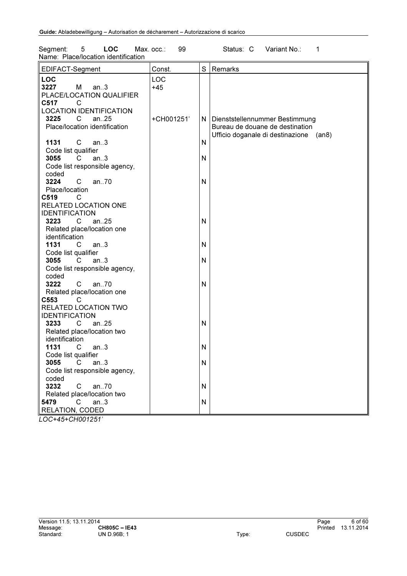| 5<br><b>LOC</b><br>Segment:<br>Name: Place/location identification                                                            | 99<br>Max. occ.: |        | Status: C<br>Variant No.:<br>1                                                                                  |
|-------------------------------------------------------------------------------------------------------------------------------|------------------|--------|-----------------------------------------------------------------------------------------------------------------|
| EDIFACT-Segment                                                                                                               | Const.           | S      | Remarks                                                                                                         |
| <b>LOC</b><br>3227<br>М<br>an.3<br>PLACE/LOCATION QUALIFIER<br>C517<br>C                                                      | LOC<br>$+45$     |        |                                                                                                                 |
| <b>LOCATION IDENTIFICATION</b><br>C<br>3225<br>an $.25$<br>Place/location identification<br>1131<br>C<br>an.3                 | +CH001251'       | N      | N   Dienststellennummer Bestimmung<br>Bureau de douane de destination<br>Ufficio doganale di destinazione (an8) |
| Code list qualifier<br>3055<br>an.3<br>C<br>Code list responsible agency,<br>coded                                            |                  | N      |                                                                                                                 |
| 3224<br>an70<br>C<br>Place/location<br>C519<br>C<br>RELATED LOCATION ONE                                                      |                  | N      |                                                                                                                 |
| <b>IDENTIFICATION</b><br>an25<br>3223<br>$\mathsf{C}$<br>Related place/location one<br>identification                         |                  | N      |                                                                                                                 |
| 1131<br>C<br>an.3<br>Code list qualifier<br>an.3<br>3055<br>C<br>Code list responsible agency,                                |                  | N<br>N |                                                                                                                 |
| coded<br>3222<br>C<br>an70<br>Related place/location one<br>C553<br>C                                                         |                  | N      |                                                                                                                 |
| RELATED LOCATION TWO<br><b>IDENTIFICATION</b><br>3233<br>$\mathsf{C}$<br>an25<br>Related place/location two<br>identification |                  | N      |                                                                                                                 |
| 1131<br>C<br>an.3<br>Code list qualifier<br>3055<br>an.3<br>C                                                                 |                  | N<br>N |                                                                                                                 |
| Code list responsible agency,<br>coded<br>3232<br>C<br>an70                                                                   |                  | N      |                                                                                                                 |
| Related place/location two<br>5479<br>C<br>an.3<br>RELATION, CODED                                                            |                  | N      |                                                                                                                 |

*LOC+45+CH001251'*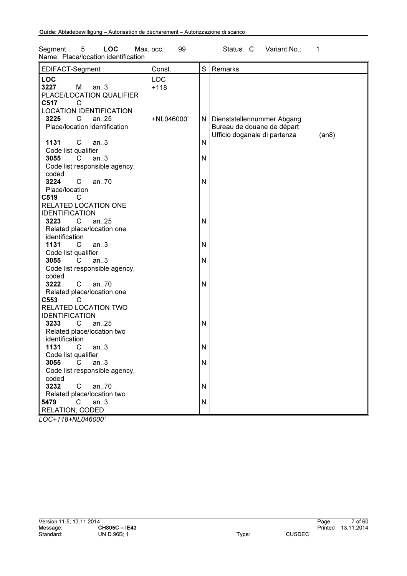| 5<br><b>LOC</b><br>Segment:<br>Name: Place/location identification                                            | Max. occ.:<br>99 |        | Status: C<br>Variant No.:<br>1                                                                        |
|---------------------------------------------------------------------------------------------------------------|------------------|--------|-------------------------------------------------------------------------------------------------------|
| EDIFACT-Segment                                                                                               | Const.           | S      | Remarks                                                                                               |
| <b>LOC</b><br>3227<br>м<br>an.3<br>PLACE/LOCATION QUALIFIER<br>C517<br>C                                      | LOC<br>$+118$    |        |                                                                                                       |
| <b>LOCATION IDENTIFICATION</b><br>3225<br>C<br>an $.25$<br>Place/location identification<br>1131<br>C<br>an.3 | +NL046000'       | N      | N   Dienststellennummer Abgang<br>Bureau de douane de départ<br>Ufficio doganale di partenza<br>(an8) |
| Code list qualifier<br>3055<br>C<br>an.3<br>Code list responsible agency,<br>coded                            |                  | N      |                                                                                                       |
| 3224<br>C<br>an70<br>Place/location<br>C519<br>C<br>RELATED LOCATION ONE                                      |                  | N      |                                                                                                       |
| <b>IDENTIFICATION</b><br>3223<br>C<br>an $.25$<br>Related place/location one<br>identification                |                  | N      |                                                                                                       |
| an.3<br>1131<br>C<br>Code list qualifier<br>3055<br>C<br>an.3<br>Code list responsible agency,                |                  | N<br>N |                                                                                                       |
| coded<br>$\mathsf{C}$<br>3222<br>an70<br>Related place/location one<br>C553<br>C                              |                  | N      |                                                                                                       |
| RELATED LOCATION TWO<br><b>IDENTIFICATION</b><br>3233<br>an.25<br>C<br>Related place/location two             |                  | N      |                                                                                                       |
| identification<br>1131<br>an.3<br>C<br>Code list qualifier                                                    |                  | N      |                                                                                                       |
| 3055<br>C<br>an.3<br>Code list responsible agency,<br>coded<br>3232<br>C<br>an70                              |                  | N<br>N |                                                                                                       |
| Related place/location two<br>$\mathsf{C}$<br>5479<br>an.3<br>RELATION, CODED                                 |                  | N      |                                                                                                       |

*LOC+118+NL046000'*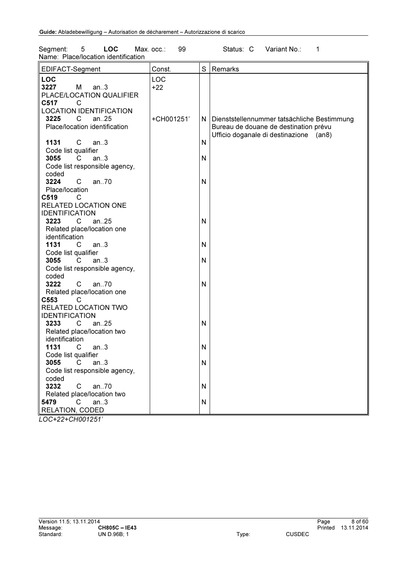| <b>LOC</b><br>5<br>Segment:<br>Name: Place/location identification                                                               | 99<br>Max. occ.:    |        | Status: C<br>Variant No.:<br>1                                                                                                 |
|----------------------------------------------------------------------------------------------------------------------------------|---------------------|--------|--------------------------------------------------------------------------------------------------------------------------------|
| EDIFACT-Segment                                                                                                                  | Const.              | S      | Remarks                                                                                                                        |
| <b>LOC</b><br>3227<br>М<br>an.3<br>PLACE/LOCATION QUALIFIER<br>C517<br>C<br><b>LOCATION IDENTIFICATION</b>                       | <b>LOC</b><br>$+22$ |        |                                                                                                                                |
| 3225<br>an $.25$<br>C<br>Place/location identification<br>$\mathsf{C}$<br>1131                                                   | +CH001251'          | N.     | Dienststellennummer tatsächliche Bestimmung<br>Bureau de douane de destination prévu<br>Ufficio doganale di destinazione (an8) |
| an.3<br>Code list qualifier<br>3055<br>C.<br>an.3<br>Code list responsible agency,                                               |                     | N<br>N |                                                                                                                                |
| coded<br>3224<br>an70<br>C<br>Place/location<br>C519<br>С                                                                        |                     | N      |                                                                                                                                |
| RELATED LOCATION ONE<br><b>IDENTIFICATION</b><br>3223<br>C<br>an.25<br>Related place/location one<br>identification              |                     | N      |                                                                                                                                |
| 1131<br>$\overline{\phantom{a}}$ C<br>an.3<br>Code list qualifier<br>3055<br>C<br>an.3<br>Code list responsible agency,<br>coded |                     | N<br>N |                                                                                                                                |
| 3222<br>C<br>an70<br>Related place/location one<br>C553<br>С                                                                     |                     | N      |                                                                                                                                |
| RELATED LOCATION TWO<br><b>IDENTIFICATION</b><br>$\mathsf{C}$<br>an25<br>3233<br>Related place/location two                      |                     | Ν      |                                                                                                                                |
| identification<br>1131<br>C<br>an.3<br>Code list qualifier                                                                       |                     | N      |                                                                                                                                |
| 3055<br>$\mathsf{C}$<br>an.3<br>Code list responsible agency,<br>coded                                                           |                     | N      |                                                                                                                                |
| 3232<br>an70<br>C<br>Related place/location two<br>5479<br>C<br>an.3                                                             |                     | N<br>N |                                                                                                                                |
| RELATION, CODED                                                                                                                  |                     |        |                                                                                                                                |

*LOC+22+CH001251'*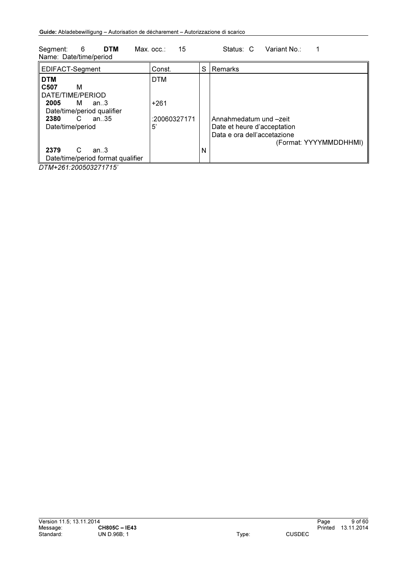| <b>DTM</b><br>- 6<br>Segment:<br>Name: Date/time/period                                                     | 15<br>$Max.$ $occ.$ : |   | Variant No.:<br>Status: C                                                                                      |
|-------------------------------------------------------------------------------------------------------------|-----------------------|---|----------------------------------------------------------------------------------------------------------------|
| EDIFACT-Segment                                                                                             | Const.                | S | Remarks                                                                                                        |
| <b>DTM</b><br>C <sub>50</sub> 7<br>м<br>DATE/TIME/PERIOD<br>2005<br>M<br>an.3<br>Date/time/period qualifier | <b>DTM</b><br>$+261$  |   |                                                                                                                |
| 2380<br>an $35$<br>C<br>Date/time/period                                                                    | :20060327171<br>5'    |   | Annahmedatum und -zeit<br>Date et heure d'acceptation<br>Data e ora dell'accetazione<br>(Format: YYYYMMDDHHMI) |
| C<br>2379<br>an.3<br>Date/time/period format qualifier                                                      |                       | N |                                                                                                                |

*DTM+261:200503271715'*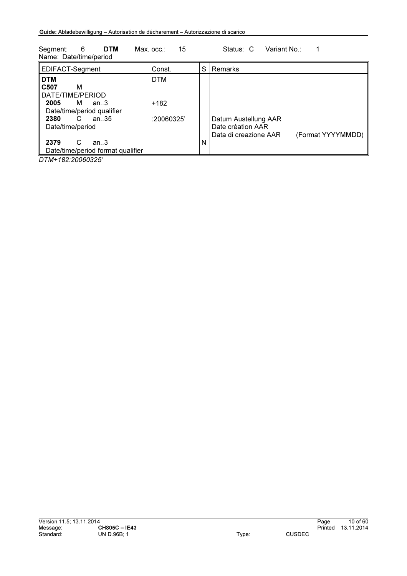| Variant No∴<br><b>DTM</b><br>15<br>6<br>Segment:<br>Status: C<br>$Max.$ $occ.$ :<br>Name: Date/time/period                                                     |                                  |   |                                                                                         |  |  |
|----------------------------------------------------------------------------------------------------------------------------------------------------------------|----------------------------------|---|-----------------------------------------------------------------------------------------|--|--|
| EDIFACT-Segment                                                                                                                                                | Const.                           | S | Remarks                                                                                 |  |  |
| <b>DTM</b><br>C507<br>м<br>DATE/TIME/PERIOD<br>2005<br>м<br>an.3<br>Date/time/period qualifier<br>2380<br>C<br>an. 35<br>Date/time/period<br>2379<br>C<br>an.3 | <b>DTM</b><br>+182<br>:20060325' | N | Datum Austellung AAR<br>Date création AAR<br>(Format YYYYMMDD)<br>Data di creazione AAR |  |  |
| Date/time/period format qualifier                                                                                                                              |                                  |   |                                                                                         |  |  |

*DTM+182:20060325'*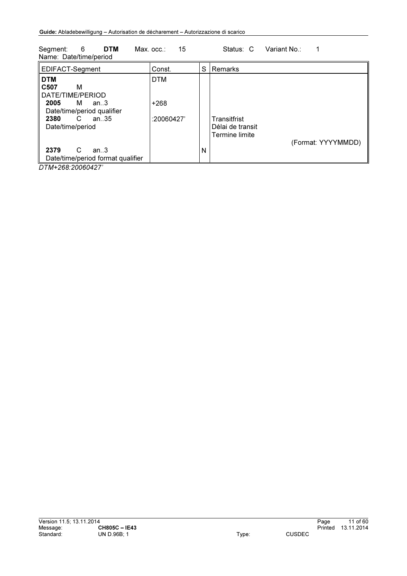| <b>DTM</b><br>6<br>Segment:<br>Name: Date/time/period                                                      | 15<br>Max. occ∴      |   | Variant No.:<br>Status: C                                                |
|------------------------------------------------------------------------------------------------------------|----------------------|---|--------------------------------------------------------------------------|
| EDIFACT-Segment                                                                                            | Const.               | S | Remarks                                                                  |
| <b>DTM</b><br>C <sub>507</sub><br>м<br>DATE/TIME/PERIOD<br>2005<br>M<br>an.3<br>Date/time/period qualifier | <b>DTM</b><br>$+268$ |   |                                                                          |
| an $.35$<br>C<br>2380<br>Date/time/period                                                                  | :20060427            |   | Transitfrist<br>Délai de transit<br>Termine limite<br>(Format: YYYYMMDD) |
| C<br>2379<br>an.3<br>Date/time/period format qualifier                                                     |                      | N |                                                                          |

*DTM+268:20060427'*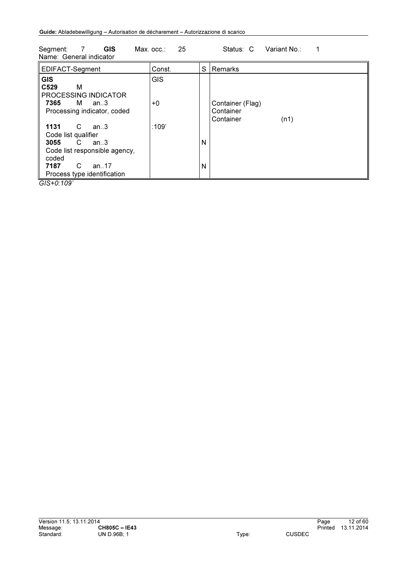| <b>GIS</b><br>25<br>Status: C<br>Variant No.:<br>Segment:<br>Max. occ.∶<br>Name: General indicator                                                              |                    |        |                                                    |  |  |  |
|-----------------------------------------------------------------------------------------------------------------------------------------------------------------|--------------------|--------|----------------------------------------------------|--|--|--|
| EDIFACT-Segment                                                                                                                                                 | Const.             | S      | Remarks                                            |  |  |  |
| <b>GIS</b><br>C <sub>529</sub><br>м<br>PROCESSING INDICATOR<br>7365<br>M<br>an.3<br>Processing indicator, coded                                                 | <b>GIS</b><br>$+0$ |        | Container (Flag)<br>Container<br>Container<br>(n1) |  |  |  |
| C<br>1131<br>an.3<br>Code list qualifier<br>3055<br>C<br>an.3<br>Code list responsible agency,<br>coded<br>7187<br>C<br>an. $17$<br>Process type identification | :109'              | N<br>N |                                                    |  |  |  |

*GIS+0:109'*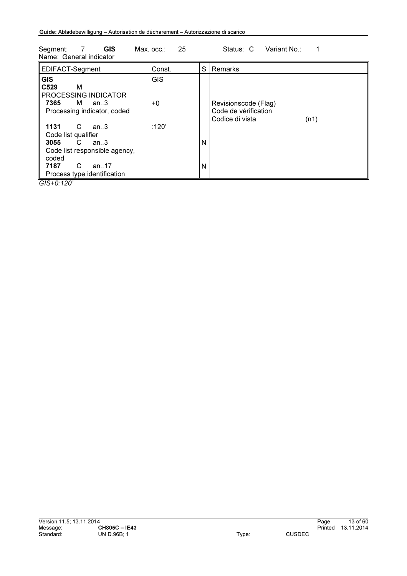| 25<br>Variant No.:<br><b>GIS</b><br>Segment:<br>Status: C<br>$\overline{7}$<br>$Max.$ $occ.$<br>Name: General indicator                                                   |                  |        |                                                                         |  |  |  |
|---------------------------------------------------------------------------------------------------------------------------------------------------------------------------|------------------|--------|-------------------------------------------------------------------------|--|--|--|
| EDIFACT-Segment                                                                                                                                                           | Const.           | S      | Remarks                                                                 |  |  |  |
| <b>GIS</b><br>C <sub>529</sub><br>м<br>PROCESSING INDICATOR<br>7365<br>M an3<br>Processing indicator, coded                                                               | <b>GIS</b><br>+0 |        | Revisionscode (Flag)<br>Code de vérification<br>Codice di vista<br>(n1) |  |  |  |
| 1131<br>C<br>an3<br>Code list qualifier<br>3055<br>$\mathbf{C}$<br>an.3<br>Code list responsible agency,<br>coded<br>C<br>7187<br>an. $17$<br>Process type identification | :120'            | N<br>N |                                                                         |  |  |  |

*GIS+0:120'*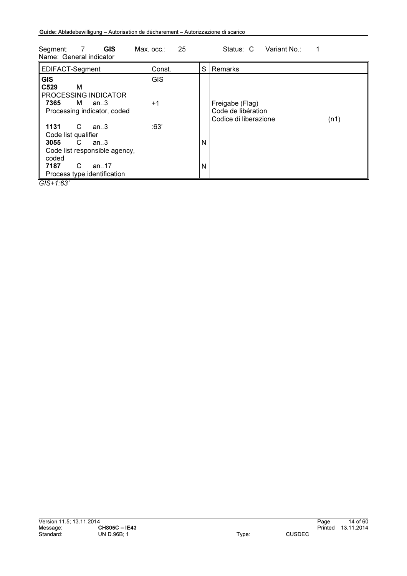| <b>GIS</b><br>Segment:<br>7<br>Name: General indicator                                                                                                                | 25<br>$Max.$ $occ.$ : |        | Variant No.:<br>Status: C                                      |      |
|-----------------------------------------------------------------------------------------------------------------------------------------------------------------------|-----------------------|--------|----------------------------------------------------------------|------|
| EDIFACT-Segment                                                                                                                                                       | Const.                | S      | Remarks                                                        |      |
| <b>GIS</b><br>C <sub>529</sub><br>м<br>PROCESSING INDICATOR<br>7365<br>$M$ an3<br>Processing indicator, coded                                                         | <b>GIS</b><br>$+1$    |        | Freigabe (Flag)<br>Code de libération<br>Codice di liberazione | (n1) |
| C<br>1131<br>an3<br>Code list qualifier<br>3055<br>an.3<br>$\mathbf{C}$<br>Code list responsible agency,<br>coded<br>C<br>7187<br>an17<br>Process type identification | :63'                  | N<br>N |                                                                |      |

*GIS+1:63'*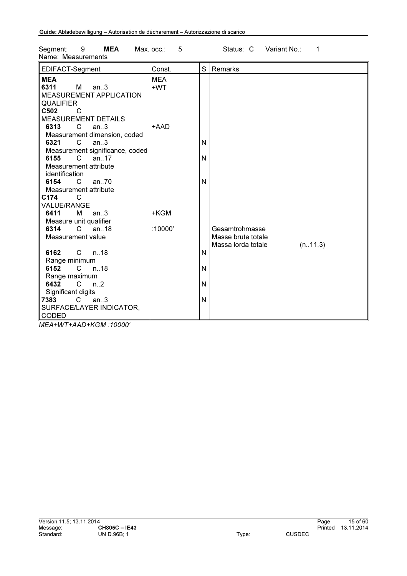| EDIFACT-Segment                 | Const.     | S | Remarks                        |  |
|---------------------------------|------------|---|--------------------------------|--|
| <b>MEA</b>                      | <b>MEA</b> |   |                                |  |
| 6311<br>M <sub>a</sub><br>an.3  | +WT        |   |                                |  |
| <b>MEASUREMENT APPLICATION</b>  |            |   |                                |  |
| <b>QUALIFIER</b>                |            |   |                                |  |
| C502<br>C                       |            |   |                                |  |
| <b>MEASUREMENT DETAILS</b>      |            |   |                                |  |
| 6313<br>C<br>an.3               | +AAD       |   |                                |  |
| Measurement dimension, coded    |            |   |                                |  |
| 6321<br>C<br>an.3               |            | N |                                |  |
| Measurement significance, coded |            |   |                                |  |
| 6155<br>C<br>an.17              |            | N |                                |  |
| Measurement attribute           |            |   |                                |  |
| identification                  |            |   |                                |  |
| 6154 C<br>an $70$               |            | N |                                |  |
| Measurement attribute           |            |   |                                |  |
| C174<br>C                       |            |   |                                |  |
| <b>VALUE/RANGE</b>              |            |   |                                |  |
| 6411<br>$M$ an3                 | +KGM       |   |                                |  |
| Measure unit qualifier          |            |   |                                |  |
| 6314<br>an.18<br>C              | :10000'    |   | Gesamtrohmasse                 |  |
| Measurement value               |            |   | Masse brute totale             |  |
|                                 |            |   | Massa lorda totale<br>(n.11,3) |  |
| 6162<br>C n18                   |            | N |                                |  |
| Range minimum                   |            |   |                                |  |
| 6152<br>n18<br>$\mathcal{C}$    |            | N |                                |  |
| Range maximum                   |            |   |                                |  |
| $\overline{C}$<br>6432<br>n.2   |            | N |                                |  |
| Significant digits              |            |   |                                |  |
| an.3<br>7383<br>C.              |            | N |                                |  |
| SURFACE/LAYER INDICATOR,        |            |   |                                |  |
| CODED                           |            |   |                                |  |
|                                 |            |   |                                |  |

Segment: 9 MEA Max. occ.: 5 Status: C Variant No.: 1 Name: Measurements

*MEA+WT+AAD+KGM :10000'*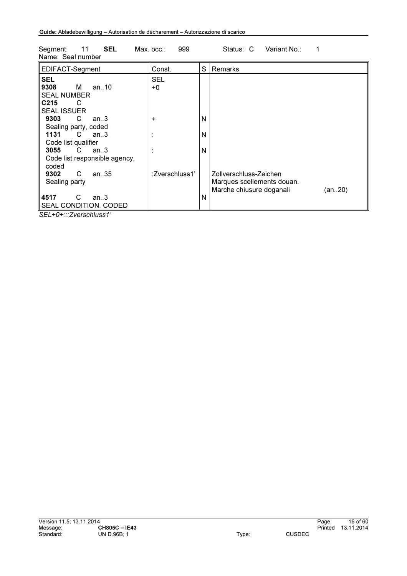| Name: Seal number                |                |   |                                    |
|----------------------------------|----------------|---|------------------------------------|
| EDIFACT-Segment                  | Const.         | S | Remarks                            |
| <b>SEL</b>                       | SEL            |   |                                    |
| 9308<br>м<br>an. $10$            | +0             |   |                                    |
| <b>SEAL NUMBER</b>               |                |   |                                    |
| C <sub>215</sub><br>C            |                |   |                                    |
| <b>SEAL ISSUER</b>               |                |   |                                    |
| 9303<br>C<br>an.3                | +              | N |                                    |
| Sealing party, coded             |                |   |                                    |
| 1131<br>$\overline{C}$<br>an3    |                | N |                                    |
| Code list qualifier              |                |   |                                    |
| 3055<br>C<br>an.3                |                | N |                                    |
| Code list responsible agency,    |                |   |                                    |
| coded                            |                |   |                                    |
| 9302<br>C<br>an $.35$            | :Zverschluss1' |   | Zollverschluss-Zeichen             |
| Sealing party                    |                |   | Marques scellements douan.         |
|                                  |                |   | Marche chiusure doganali<br>(an20) |
| 4517<br>C<br>an.3                |                | N |                                    |
| SEAL CONDITION, CODED            |                |   |                                    |
| $\bigcap I \cup \bigcap  \cup I$ |                |   |                                    |

Segment: 11 SEL Max. occ.: 999 Status: C Variant No.: 1

*SEL+0+:::Zverschluss1'*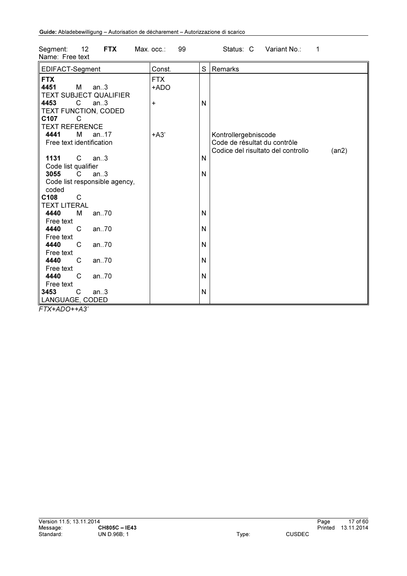| 12<br><b>FTX</b><br>Segment:<br>Name: Free text                                                                                | Max. $occ.:$ 99         |        | Variant No.:<br>Status: C<br>1                                                                      |
|--------------------------------------------------------------------------------------------------------------------------------|-------------------------|--------|-----------------------------------------------------------------------------------------------------|
| EDIFACT-Segment                                                                                                                | Const.                  | S      | Remarks                                                                                             |
| <b>FTX</b><br>4451<br>M<br>an.3<br>TEXT SUBJECT QUALIFIER<br>4453<br>$\mathsf{C}$<br>an.3<br>TEXT FUNCTION, CODED<br>C107<br>С | <b>FTX</b><br>+ADO<br>+ | N      |                                                                                                     |
| <b>TEXT REFERENCE</b><br>4441<br>M<br>an17<br>Free text identification                                                         | $+A3'$                  |        | Kontrollergebniscode<br>Code de résultat du contrôle<br>Codice del risultato del controllo<br>(an2) |
| 1131<br>C<br>an.3<br>Code list qualifier<br>3055<br>C<br>an.3                                                                  |                         | N<br>N |                                                                                                     |
| Code list responsible agency,<br>coded<br>C108<br>$\mathsf{C}$<br><b>TEXT LITERAL</b>                                          |                         |        |                                                                                                     |
| 4440<br>an70<br>M<br>Free text                                                                                                 |                         | N      |                                                                                                     |
| 4440<br>C<br>an.70<br>Free text                                                                                                |                         | N      |                                                                                                     |
| 4440<br>an70<br>C.<br>Free text                                                                                                |                         | N      |                                                                                                     |
| 4440<br>C<br>an70<br>Free text                                                                                                 |                         | N      |                                                                                                     |
| C<br>4440<br>an70<br>Free text                                                                                                 |                         | N      |                                                                                                     |
| 3453<br>C<br>an.3<br>LANGUAGE, CODED<br>$\sim$ $\sim$                                                                          |                         | N      |                                                                                                     |

*FTX+ADO++A3'*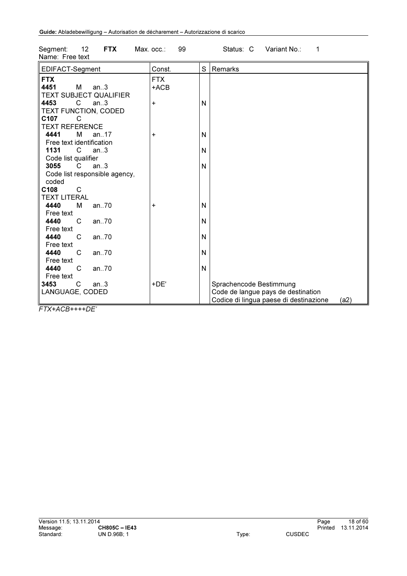| Name: Free text                 |                      |   |                                                |
|---------------------------------|----------------------|---|------------------------------------------------|
| EDIFACT-Segment                 | Const.               | S | Remarks                                        |
| <b>FTX</b><br>4451<br>м<br>an.3 | <b>FTX</b><br>$+ACB$ |   |                                                |
| TEXT SUBJECT QUALIFIER          |                      |   |                                                |
| 4453<br>C<br>an.3               | +                    | N |                                                |
| TEXT FUNCTION, CODED            |                      |   |                                                |
| C107<br>C                       |                      |   |                                                |
| <b>TEXT REFERENCE</b>           |                      |   |                                                |
| 4441<br>м<br>an. $17$           | +                    | N |                                                |
| Free text identification        |                      |   |                                                |
| 1131<br>C<br>an.3               |                      | N |                                                |
| Code list qualifier             |                      |   |                                                |
| 3055<br>an.3<br>C.              |                      | N |                                                |
| Code list responsible agency,   |                      |   |                                                |
| coded                           |                      |   |                                                |
| C108<br>C                       |                      |   |                                                |
| <b>TEXT LITERAL</b>             |                      |   |                                                |
| 4440<br>м<br>an70               | +                    | N |                                                |
| Free text                       |                      |   |                                                |
| 4440<br>C<br>an70               |                      | N |                                                |
| Free text                       |                      |   |                                                |
| 4440<br>C<br>an70               |                      | N |                                                |
| Free text                       |                      |   |                                                |
| 4440<br>C<br>an70               |                      | N |                                                |
| Free text                       |                      |   |                                                |
| 4440<br>C<br>an70               |                      | N |                                                |
| Free text                       |                      |   |                                                |
| 3453<br>C<br>an.3               | +DE'                 |   | Sprachencode Bestimmung                        |
| LANGUAGE, CODED                 |                      |   | Code de langue pays de destination             |
|                                 |                      |   | Codice di lingua paese di destinazione<br>(a2) |

Segment: 12 FTX Max. occ.: 99 Status: C Variant No.: 1

*FTX+ACB++++DE'*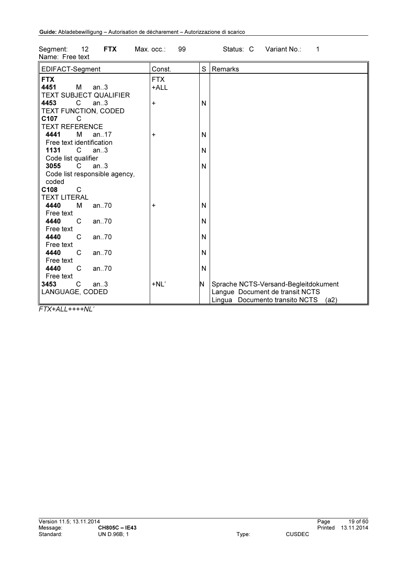| Name: Free text                                                                                                                                                                                                                                                                        |                    |        |                                                                                                                   |
|----------------------------------------------------------------------------------------------------------------------------------------------------------------------------------------------------------------------------------------------------------------------------------------|--------------------|--------|-------------------------------------------------------------------------------------------------------------------|
| EDIFACT-Segment                                                                                                                                                                                                                                                                        | Const.             | S      | Remarks                                                                                                           |
| <b>FTX</b><br>4451<br>M and the set of the set of the set of the set of the set of the set of the set of the set of the set of the set of the set of the set of the set of the set of the set of the set of the set of the set of the set of the set<br>an.3<br>TEXT SUBJECT QUALIFIER | <b>FTX</b><br>+ALL |        |                                                                                                                   |
| 4453<br>$\mathsf{C}$<br>an.3<br>TEXT FUNCTION, CODED<br>C107<br>C                                                                                                                                                                                                                      | +                  | N      |                                                                                                                   |
| <b>TEXT REFERENCE</b><br>4441<br>м<br>an. $17$<br>Free text identification                                                                                                                                                                                                             | +                  | N      |                                                                                                                   |
| 1131<br>C<br>an.3<br>Code list qualifier<br>3055<br>C.<br>an.3                                                                                                                                                                                                                         |                    | N<br>N |                                                                                                                   |
| Code list responsible agency,<br>coded                                                                                                                                                                                                                                                 |                    |        |                                                                                                                   |
| C108<br>C<br><b>TEXT LITERAL</b>                                                                                                                                                                                                                                                       |                    |        |                                                                                                                   |
| 4440<br>м<br>an.70<br>Free text                                                                                                                                                                                                                                                        | +                  | N      |                                                                                                                   |
| 4440<br>C<br>an $.70$<br>Free text<br>4440<br>C<br>an70                                                                                                                                                                                                                                |                    | N<br>N |                                                                                                                   |
| Free text<br>4440<br>C<br>an $.70$                                                                                                                                                                                                                                                     |                    | N      |                                                                                                                   |
| Free text<br>4440<br>C<br>an70                                                                                                                                                                                                                                                         |                    | N      |                                                                                                                   |
| Free text<br>C<br>3453<br>an.3<br>LANGUAGE, CODED                                                                                                                                                                                                                                      | $+NL'$             | N      | Sprache NCTS-Versand-Begleitdokument<br>Langue Document de transit NCTS<br>Lingua Documento transito NCTS<br>(a2) |

Segment: 12 FTX Max. occ.: 99 Status: C Variant No.: 1

*FTX+ALL++++NL'*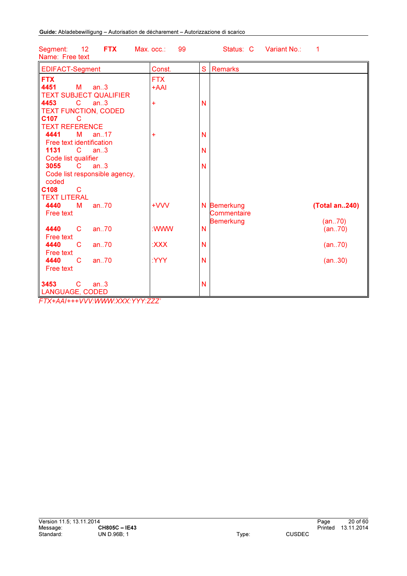| <b>EDIFACT-Segment</b>                                                                                                                                                      | Const.             | S<br><b>Remarks</b>                                                        |  |
|-----------------------------------------------------------------------------------------------------------------------------------------------------------------------------|--------------------|----------------------------------------------------------------------------|--|
| <b>FTX</b><br>4451<br><b>M</b><br>an.3<br><b>TEXT SUBJECT QUALIFIER</b>                                                                                                     | <b>FTX</b><br>+AAI |                                                                            |  |
| 4453<br>$\overline{C}$<br>an.3<br><b>TEXT FUNCTION, CODED</b><br>C <sub>107</sub><br>C                                                                                      | Ŧ                  | N                                                                          |  |
| <b>TEXT REFERENCE</b><br>4441<br>an.17<br>М                                                                                                                                 | ÷                  | N                                                                          |  |
| Free text identification<br>1131<br>$\mathbf{C}$<br>an.3<br>Code list qualifier                                                                                             |                    | N                                                                          |  |
| 3055<br>$\mathbf{C}$<br>an.3<br>Code list responsible agency,                                                                                                               |                    | N                                                                          |  |
| coded<br>C108<br>C<br><b>TEXT LITERAL</b>                                                                                                                                   |                    |                                                                            |  |
| 4440<br>an.70<br>М<br>Free text                                                                                                                                             | +VW                | (Total an240)<br>N Bemerkung<br>Commentaire<br><b>Bemerkung</b><br>(an.70) |  |
| 4440<br>$\mathsf{C}$<br>an.70<br>Free text                                                                                                                                  | :WWW               | N<br>(an70)                                                                |  |
| 4440<br>C.<br>an.70<br>Free text                                                                                                                                            | <b>XXX:</b>        | N<br>(an70)                                                                |  |
| 4440<br>an.70<br>C<br>Free text                                                                                                                                             | :YYY               | N<br>(an30)                                                                |  |
| 3453<br>an.3<br>C<br>LANGUAGE, CODED<br>$T$ $T$ $V$ $+$ $A$ $A$ $I$ $+$ $+$ $+$ $A$ $A$ $B$ $A$ $C$ $A$ $A$ $A$ $A$ $A$ $A$ $V$ $V$ $V$ $+$ $V$ $V$ $+$ $T$ $T$ $T$ $T$ $T$ |                    | N                                                                          |  |

12 FTX Max. occ.: 99 Status: C Variant No.: 1 Segment: 12<br>Name: Free text

*FTX+AAI+++VVV:WWW:XXX:YYY:ZZZ'*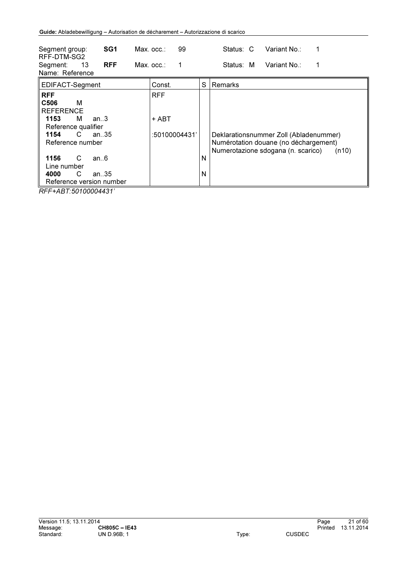| SG1<br>Segment group:<br>RFF-DTM-SG2                                                | $Max.$ $occ.$ : | 99            |   | Variant No∴<br>Status: C                                                                                                       |
|-------------------------------------------------------------------------------------|-----------------|---------------|---|--------------------------------------------------------------------------------------------------------------------------------|
| <b>RFF</b><br>13<br>Segment:<br>Name: Reference                                     | $Max.$ $occ.$ : |               |   | Variant No∴<br>Status: M                                                                                                       |
| EDIFACT-Segment                                                                     |                 | Const.        | S | Remarks                                                                                                                        |
| <b>RFF</b>                                                                          | <b>RFF</b>      |               |   |                                                                                                                                |
| C506<br>м<br><b>REFERENCE</b>                                                       |                 |               |   |                                                                                                                                |
| 1153<br>an.3<br>M<br>Reference qualifier                                            |                 | + ABT         |   |                                                                                                                                |
| C.<br>1154<br>an. $35$<br>Reference number                                          |                 | :50100004431' |   | Deklarationsnummer Zoll (Abladenummer)<br>Numérotation douane (no déchargement)<br>Numerotazione sdogana (n. scarico)<br>(n10) |
| 1156<br>C<br>an.6<br>Line number                                                    |                 |               | N |                                                                                                                                |
| С<br>4000<br>an35<br>Reference version number<br><u> BEE : 1 BE EAIAAAA 1 10 11</u> |                 |               | N |                                                                                                                                |

*RFF+ABT:50100004431'*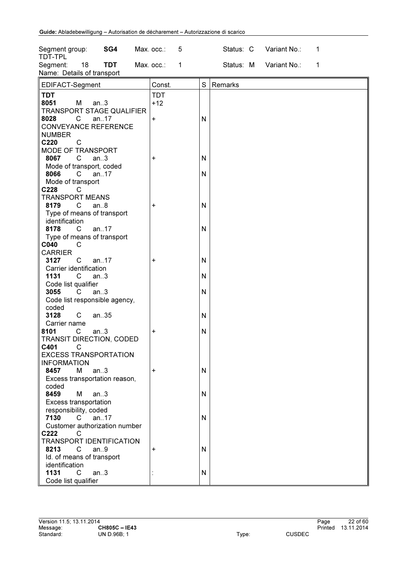| SG4<br>Segment group:<br>TDT-TPL                                                                     | Max. occ.:<br>5           |        | Status: C | Variant No.:           | 1           |
|------------------------------------------------------------------------------------------------------|---------------------------|--------|-----------|------------------------|-------------|
| 18<br><b>TDT</b><br>Segment:<br>Name: Details of transport                                           | Max. occ.:<br>$\mathbf 1$ |        |           | Status: M Variant No.: | $\mathbf 1$ |
| EDIFACT-Segment                                                                                      | Const.                    | S      | Remarks   |                        |             |
| <b>TDT</b><br>8051<br>М<br>an.3<br>TRANSPORT STAGE QUALIFIER                                         | <b>TDT</b><br>$+12$       |        |           |                        |             |
| 8028<br>$\mathsf{C}$<br>an17<br><b>CONVEYANCE REFERENCE</b><br><b>NUMBER</b><br>C220<br>$\mathsf{C}$ | $\ddot{}$                 | N      |           |                        |             |
| MODE OF TRANSPORT<br>8067<br>C<br>an.3<br>Mode of transport, coded                                   | +                         | N      |           |                        |             |
| 8066<br>an $.17$<br>C.<br>Mode of transport<br>C228<br>C                                             |                           | N      |           |                        |             |
| <b>TRANSPORT MEANS</b><br>$\mathsf{C}$<br>8179<br>an.8<br>Type of means of transport                 | +                         | N      |           |                        |             |
| identification<br>8178<br>$\mathsf{C}^-$<br>an17                                                     |                           | N      |           |                        |             |
| Type of means of transport<br>C040<br>C<br><b>CARRIER</b>                                            |                           |        |           |                        |             |
| C<br>an.17<br>3127<br>Carrier identification<br>1131<br>$\mathsf{C}$<br>an.3                         | +                         | N<br>N |           |                        |             |
| Code list qualifier<br>3055<br>$\mathsf{C}$<br>an.3<br>Code list responsible agency,<br>coded        |                           | N      |           |                        |             |
| $\mathsf{C}$<br>3128<br>an35<br>Carrier name                                                         |                           | N      |           |                        |             |
| 8101<br>$\mathsf{C}$<br>an.3<br>TRANSIT DIRECTION, CODED<br>C401<br>$\overline{C}$                   | $\ddot{}$                 | N      |           |                        |             |
| <b>EXCESS TRANSPORTATION</b><br><b>INFORMATION</b>                                                   |                           |        |           |                        |             |
| 8457<br>M<br>an.3<br>Excess transportation reason,<br>coded                                          | +                         | N      |           |                        |             |
| 8459<br>М<br>an.3<br><b>Excess transportation</b><br>responsibility, coded                           |                           | N      |           |                        |             |
| 7130<br>$\mathsf{C}$<br>an17<br>Customer authorization number<br>C222<br>C                           |                           | N      |           |                        |             |
| TRANSPORT IDENTIFICATION<br>8213<br>an.9<br>C<br>Id. of means of transport                           | +                         | N      |           |                        |             |
| identification<br>1131<br>$\mathsf{C}$<br>an.3<br>Code list qualifier                                |                           | N      |           |                        |             |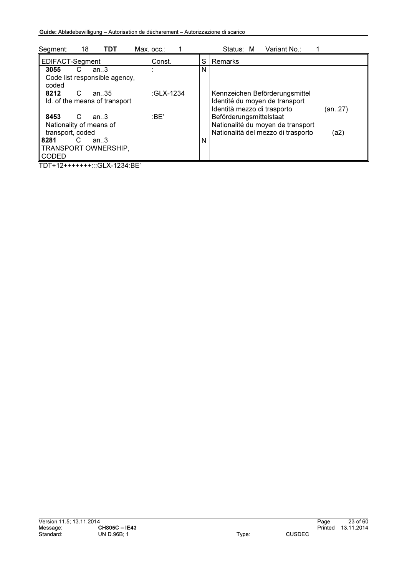| 18<br>TDT<br>Segment:                                                  | $Max.$ $occ.$ : |   | Variant No∴<br>Status: M                                                                        |        |
|------------------------------------------------------------------------|-----------------|---|-------------------------------------------------------------------------------------------------|--------|
| EDIFACT-Segment                                                        | Const.          | S | l Remarks                                                                                       |        |
| 3055<br>an.3<br>C<br>Code list responsible agency,<br>coded            |                 | N |                                                                                                 |        |
| C<br>8212<br>an35<br>Id. of the means of transport                     | :GLX-1234       |   | Kennzeichen Beförderungsmittel<br>Identité du moyen de transport<br>Identità mezzo di trasporto | (an27) |
| 8453<br>C<br>an 3<br>Nationality of means of                           | :BE'            |   | Beförderungsmittelstaat<br>Nationalité du moyen de transport                                    |        |
| transport, coded<br>8281<br>C<br>an.3<br>TRANSPORT OWNERSHIP,<br>CODED |                 | N | Nationalità del mezzo di trasporto                                                              | (a2)   |

TDT+12+++++++:::GLX-1234:BE'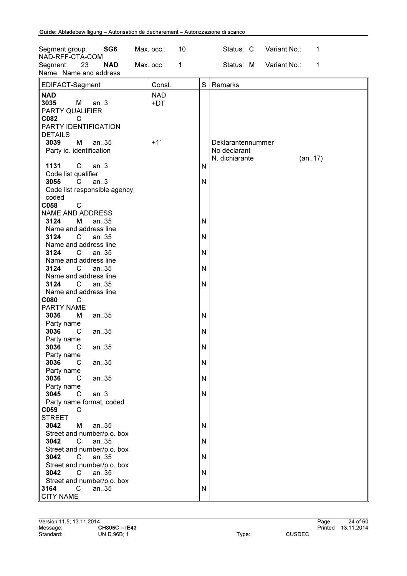| SG6<br>Segment group:<br>NAD-RFF-CTA-COM                                                 | 10<br>Max. occ.:           | Status: C Variant No.:<br>1                                   |
|------------------------------------------------------------------------------------------|----------------------------|---------------------------------------------------------------|
| Segment:<br>23<br><b>NAD</b><br>Name: Name and address                                   | Max. occ.:<br>$\mathbf{1}$ | Status: M Variant No.:<br>1                                   |
| EDIFACT-Segment                                                                          | Const.                     | S<br>Remarks                                                  |
| <b>NAD</b><br>3035<br>M<br>an.3<br>PARTY QUALIFIER<br>C082<br>C<br>PARTY IDENTIFICATION  | <b>NAD</b><br>+DT          |                                                               |
| <b>DETAILS</b><br>3039<br>М<br>an35<br>Party id. identification                          | $+1'$                      | Deklarantennummer<br>No déclarant<br>N. dichiarante<br>(an17) |
| 1131<br>$\mathsf{C}$<br>an.3<br>Code list qualifier                                      |                            | N                                                             |
| 3055<br>$\mathsf{C}$<br>an.3<br>Code list responsible agency,<br>coded                   |                            | N                                                             |
| $\mathsf{C}$<br>C058<br><b>NAME AND ADDRESS</b>                                          |                            |                                                               |
| 3124<br>М<br>an35<br>Name and address line                                               |                            | N                                                             |
| 3124<br>$\mathsf{C}$<br>an35<br>Name and address line                                    |                            | N                                                             |
| 3124<br>an35<br>$\mathsf{C}$<br>Name and address line<br>3124<br>C.<br>an35              |                            | N<br>N                                                        |
| Name and address line<br>3124<br>$\mathbf C$<br>an35<br>Name and address line            |                            | N                                                             |
| C080<br>C<br>PARTY NAME                                                                  |                            |                                                               |
| 3036<br>М<br>an35<br>Party name<br>3036<br>an35<br>C                                     |                            | N<br>N                                                        |
| Party name<br>3036<br>$C$ an. 35                                                         |                            | N                                                             |
| Party name<br>3036<br>$\mathsf{C}$<br>an35<br>Party name                                 |                            | N                                                             |
| 3036<br>an35<br>C<br>Party name                                                          |                            | N                                                             |
| 3045<br>$\mathsf{C}$<br>an.3<br>Party name format, coded                                 |                            | N                                                             |
| C059<br>C<br><b>STREET</b><br>3042<br>an35<br>М                                          |                            | N                                                             |
| Street and number/p.o. box<br>3042<br>an35<br>C                                          |                            | N                                                             |
| Street and number/p.o. box<br>3042<br>$\mathsf{C}$<br>an35<br>Street and number/p.o. box |                            | N                                                             |
| 3042<br>$\mathsf{C}$<br>an35<br>Street and number/p.o. box                               |                            | N                                                             |
| $\mathbf{C}$<br>3164<br>an35<br><b>CITY NAME</b>                                         |                            | N                                                             |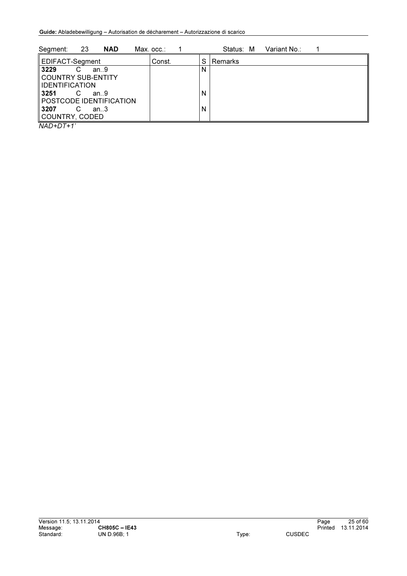| 23<br>Segment:<br><b>NAD</b>                 | Max. occ.: |   | Status: M | Variant No.: |  |
|----------------------------------------------|------------|---|-----------|--------------|--|
| EDIFACT-Segment                              | Const.     | S | l Remarks |              |  |
| 3229<br>C<br>an.9                            |            | N |           |              |  |
| COUNTRY SUB-ENTITY                           |            |   |           |              |  |
| <b>I</b> IDENTIFICATION                      |            |   |           |              |  |
| 3251<br>C<br>an.9<br>POSTCODE IDENTIFICATION |            | N |           |              |  |
| 3207<br>an.3                                 |            | N |           |              |  |
| COUNTRY, CODED                               |            |   |           |              |  |

*NAD+DT+1'*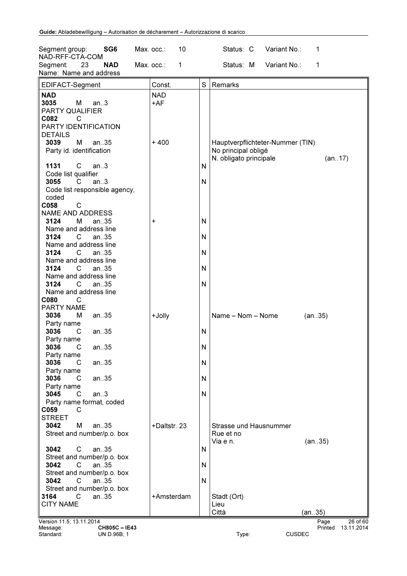| SG <sub>6</sub><br>Segment group:<br>NAD-RFF-CTA-COM                      | 10<br>Max. occ.:    |              | Status: C                                     | Variant No.:                     | 1       |            |
|---------------------------------------------------------------------------|---------------------|--------------|-----------------------------------------------|----------------------------------|---------|------------|
| 23<br><b>NAD</b><br>Segment:                                              | Max. occ.:<br>1     |              | Status: M                                     | Variant No.:                     | 1       |            |
| Name: Name and address                                                    |                     |              |                                               |                                  |         |            |
| EDIFACT-Segment                                                           | Const.              | S            | Remarks                                       |                                  |         |            |
| <b>NAD</b><br>3035<br>М<br>an.3<br>PARTY QUALIFIER<br>C082<br>C           | <b>NAD</b><br>$+AF$ |              |                                               |                                  |         |            |
| PARTY IDENTIFICATION<br><b>DETAILS</b>                                    |                     |              |                                               |                                  |         |            |
| 3039<br>М<br>an.35<br>Party id. identification                            | $+400$              |              | No principal obligé<br>N. obligato principale | Hauptverpflichteter-Nummer (TIN) |         | (an17)     |
| C<br>1131<br>an.3<br>Code list qualifier                                  |                     | N            |                                               |                                  |         |            |
| 3055<br>an.3<br>C.<br>Code list responsible agency,<br>coded<br>C058<br>C |                     | $\mathsf{N}$ |                                               |                                  |         |            |
| <b>NAME AND ADDRESS</b><br>3124<br>М<br>an35                              | +                   | N            |                                               |                                  |         |            |
| Name and address line<br>3124<br>C<br>an.35                               |                     | N            |                                               |                                  |         |            |
| Name and address line<br>3124<br>an35<br>C.                               |                     | N            |                                               |                                  |         |            |
| Name and address line<br>3124<br>C<br>an35                                |                     | N            |                                               |                                  |         |            |
| Name and address line<br>3124<br>C<br>an35                                |                     | N            |                                               |                                  |         |            |
| Name and address line<br>C080<br>C                                        |                     |              |                                               |                                  |         |            |
| PARTY NAME<br>3036<br>М<br>an35                                           | +Jolly              |              | Name - Nom - Nome                             |                                  | (an35)  |            |
| Party name<br>3036<br>an35<br>C                                           |                     | N            |                                               |                                  |         |            |
| Party name<br>3036<br>an35<br>C.                                          |                     | N            |                                               |                                  |         |            |
| Party name<br>3036<br>an35<br>C                                           |                     | N            |                                               |                                  |         |            |
| Party name<br>3036<br>an35<br>C                                           |                     | N            |                                               |                                  |         |            |
| Party name<br>an.3<br>3045<br>C<br>Party name format, coded<br>C059<br>C  |                     | N            |                                               |                                  |         |            |
| <b>STREET</b><br>3042<br>М<br>an.35<br>Street and number/p.o. box         | +Daltstr. 23        |              | Strasse und Hausnummer<br>Rue et no           |                                  |         |            |
| an35<br>3042<br>С<br>Street and number/p.o. box                           |                     | N            | Via e n.                                      |                                  | (an35)  |            |
| 3042<br>C<br>an.35<br>Street and number/p.o. box                          |                     | N            |                                               |                                  |         |            |
| 3042<br>C<br>an.35<br>Street and number/p.o. box                          |                     | N            |                                               |                                  |         |            |
| C<br>3164<br>an35<br><b>CITY NAME</b>                                     | +Amsterdam          |              | Stadt (Ort)<br>Lieu                           |                                  |         |            |
|                                                                           |                     |              | Città                                         |                                  | (an35)  |            |
| Version 11.5; 13.11.2014                                                  |                     |              |                                               |                                  | Page    | 26 of 60   |
| Message:<br><b>CH805C-IE43</b><br>Standard:<br>UN D.96B; 1                |                     |              | Type:                                         | <b>CUSDEC</b>                    | Printed | 13.11.2014 |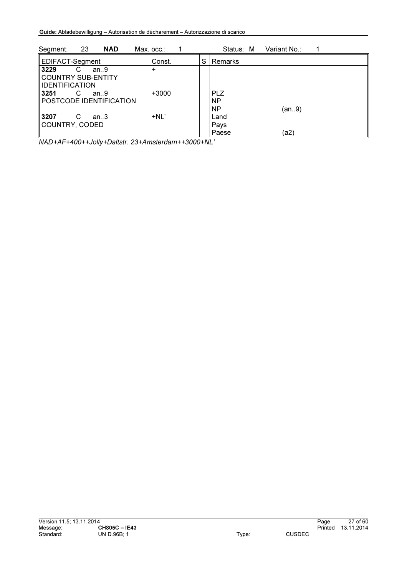| 23<br><b>NAD</b><br>Segment:                                      | Max. occ.∶ |   | Status: M                            | Variant No.: |  |
|-------------------------------------------------------------------|------------|---|--------------------------------------|--------------|--|
| EDIFACT-Segment                                                   | Const.     | S | Remarks                              |              |  |
| 3229<br>an.9<br>С<br>COUNTRY SUB-ENTITY<br><b>IIDENTIFICATION</b> | ÷          |   |                                      |              |  |
| ll 3251<br>С<br>an.9<br>POSTCODE IDENTIFICATION                   | $+3000$    |   | <b>PLZ</b><br><b>NP</b><br><b>NP</b> | (an9)        |  |
| ll 3207<br>С<br>an.3<br>COUNTRY, CODED                            | $+NL'$     |   | Land<br>Pays<br>Paese                | (a2          |  |

*NAD+AF+400++Jolly+Daltstr. 23+Amsterdam++3000+NL'*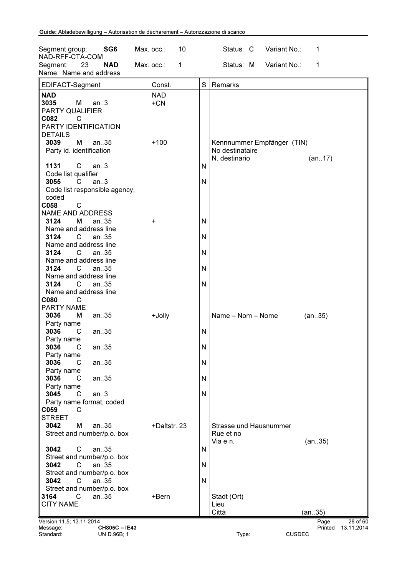| Variant No.:<br>Segment:<br>23<br><b>NAD</b><br>Max. occ.:<br>1<br>Status: M<br>1<br>Name: Name and address<br>S<br>EDIFACT-Segment<br>Const.<br>Remarks<br><b>NAD</b><br><b>NAD</b><br>$+CN$<br>3035<br>М<br>an.3<br>PARTY QUALIFIER<br>C082<br>C<br>PARTY IDENTIFICATION<br><b>DETAILS</b><br>3039<br>М<br>$+100$<br>an35<br>Kennnummer Empfänger (TIN)<br>Party id. identification<br>No destinataire<br>N. destinario<br>(an17)<br>C<br>1131<br>an.3<br>N<br>Code list qualifier<br>3055<br>C<br>an.3<br>N<br>Code list responsible agency,<br>coded<br>$\mathsf{C}$<br>C058<br><b>NAME AND ADDRESS</b><br>3124<br>М<br>N<br>an $.35$<br>+<br>Name and address line<br>3124<br>N<br>$\mathbf{C}$<br>an.35<br>Name and address line<br>3124<br>N<br>C.<br>an.35<br>Name and address line<br>3124<br>N<br>C<br>an35<br>Name and address line<br>3124<br>N<br>C.<br>an35<br>Name and address line<br>C080<br>C<br>PARTY NAME<br>Name - Nom - Nome<br>3036<br>М<br>an35<br>+Jolly<br>(an35)<br>Party name<br>3036<br>an35<br>C<br>N<br>Party name<br>N<br>3036<br>C.<br>an35<br>Party name<br>3036<br>an35<br>N<br>C<br>Party name<br>3036<br>an35<br>C<br>N<br>Party name<br>3045<br>an.3<br>C<br>N<br>Party name format, coded<br>C059<br>C<br><b>STREET</b><br>3042<br>M<br>an.35<br>+Daltstr. 23<br>Strasse und Hausnummer<br>Street and number/p.o. box<br>Rue et no<br>Via e n.<br>(an35)<br>an35<br>3042<br>С<br>N<br>Street and number/p.o. box<br>3042<br>C<br>an.35<br>N<br>Street and number/p.o. box<br>3042<br>N<br>C<br>an.35<br>Street and number/p.o. box<br>C<br>3164<br>an35<br>+Bern<br>Stadt (Ort)<br><b>CITY NAME</b><br>Lieu<br>Città<br>(an35)<br>Version 11.5; 13.11.2014<br>Page<br>13.11.2014<br>Message:<br><b>CH805C-IE43</b><br>Printed | SG <sub>6</sub><br>Segment group:<br>NAD-RFF-CTA-COM | Max. occ.: | 10 | Status: C | Variant No.: | 1 |          |
|----------------------------------------------------------------------------------------------------------------------------------------------------------------------------------------------------------------------------------------------------------------------------------------------------------------------------------------------------------------------------------------------------------------------------------------------------------------------------------------------------------------------------------------------------------------------------------------------------------------------------------------------------------------------------------------------------------------------------------------------------------------------------------------------------------------------------------------------------------------------------------------------------------------------------------------------------------------------------------------------------------------------------------------------------------------------------------------------------------------------------------------------------------------------------------------------------------------------------------------------------------------------------------------------------------------------------------------------------------------------------------------------------------------------------------------------------------------------------------------------------------------------------------------------------------------------------------------------------------------------------------------------------------------------------------------------------------------------------------------------------------------------|------------------------------------------------------|------------|----|-----------|--------------|---|----------|
|                                                                                                                                                                                                                                                                                                                                                                                                                                                                                                                                                                                                                                                                                                                                                                                                                                                                                                                                                                                                                                                                                                                                                                                                                                                                                                                                                                                                                                                                                                                                                                                                                                                                                                                                                                      |                                                      |            |    |           |              |   |          |
|                                                                                                                                                                                                                                                                                                                                                                                                                                                                                                                                                                                                                                                                                                                                                                                                                                                                                                                                                                                                                                                                                                                                                                                                                                                                                                                                                                                                                                                                                                                                                                                                                                                                                                                                                                      |                                                      |            |    |           |              |   |          |
|                                                                                                                                                                                                                                                                                                                                                                                                                                                                                                                                                                                                                                                                                                                                                                                                                                                                                                                                                                                                                                                                                                                                                                                                                                                                                                                                                                                                                                                                                                                                                                                                                                                                                                                                                                      |                                                      |            |    |           |              |   |          |
|                                                                                                                                                                                                                                                                                                                                                                                                                                                                                                                                                                                                                                                                                                                                                                                                                                                                                                                                                                                                                                                                                                                                                                                                                                                                                                                                                                                                                                                                                                                                                                                                                                                                                                                                                                      |                                                      |            |    |           |              |   |          |
|                                                                                                                                                                                                                                                                                                                                                                                                                                                                                                                                                                                                                                                                                                                                                                                                                                                                                                                                                                                                                                                                                                                                                                                                                                                                                                                                                                                                                                                                                                                                                                                                                                                                                                                                                                      |                                                      |            |    |           |              |   |          |
|                                                                                                                                                                                                                                                                                                                                                                                                                                                                                                                                                                                                                                                                                                                                                                                                                                                                                                                                                                                                                                                                                                                                                                                                                                                                                                                                                                                                                                                                                                                                                                                                                                                                                                                                                                      |                                                      |            |    |           |              |   |          |
|                                                                                                                                                                                                                                                                                                                                                                                                                                                                                                                                                                                                                                                                                                                                                                                                                                                                                                                                                                                                                                                                                                                                                                                                                                                                                                                                                                                                                                                                                                                                                                                                                                                                                                                                                                      |                                                      |            |    |           |              |   |          |
|                                                                                                                                                                                                                                                                                                                                                                                                                                                                                                                                                                                                                                                                                                                                                                                                                                                                                                                                                                                                                                                                                                                                                                                                                                                                                                                                                                                                                                                                                                                                                                                                                                                                                                                                                                      |                                                      |            |    |           |              |   |          |
|                                                                                                                                                                                                                                                                                                                                                                                                                                                                                                                                                                                                                                                                                                                                                                                                                                                                                                                                                                                                                                                                                                                                                                                                                                                                                                                                                                                                                                                                                                                                                                                                                                                                                                                                                                      |                                                      |            |    |           |              |   |          |
|                                                                                                                                                                                                                                                                                                                                                                                                                                                                                                                                                                                                                                                                                                                                                                                                                                                                                                                                                                                                                                                                                                                                                                                                                                                                                                                                                                                                                                                                                                                                                                                                                                                                                                                                                                      |                                                      |            |    |           |              |   |          |
|                                                                                                                                                                                                                                                                                                                                                                                                                                                                                                                                                                                                                                                                                                                                                                                                                                                                                                                                                                                                                                                                                                                                                                                                                                                                                                                                                                                                                                                                                                                                                                                                                                                                                                                                                                      |                                                      |            |    |           |              |   |          |
|                                                                                                                                                                                                                                                                                                                                                                                                                                                                                                                                                                                                                                                                                                                                                                                                                                                                                                                                                                                                                                                                                                                                                                                                                                                                                                                                                                                                                                                                                                                                                                                                                                                                                                                                                                      |                                                      |            |    |           |              |   |          |
|                                                                                                                                                                                                                                                                                                                                                                                                                                                                                                                                                                                                                                                                                                                                                                                                                                                                                                                                                                                                                                                                                                                                                                                                                                                                                                                                                                                                                                                                                                                                                                                                                                                                                                                                                                      |                                                      |            |    |           |              |   |          |
|                                                                                                                                                                                                                                                                                                                                                                                                                                                                                                                                                                                                                                                                                                                                                                                                                                                                                                                                                                                                                                                                                                                                                                                                                                                                                                                                                                                                                                                                                                                                                                                                                                                                                                                                                                      |                                                      |            |    |           |              |   |          |
|                                                                                                                                                                                                                                                                                                                                                                                                                                                                                                                                                                                                                                                                                                                                                                                                                                                                                                                                                                                                                                                                                                                                                                                                                                                                                                                                                                                                                                                                                                                                                                                                                                                                                                                                                                      |                                                      |            |    |           |              |   |          |
|                                                                                                                                                                                                                                                                                                                                                                                                                                                                                                                                                                                                                                                                                                                                                                                                                                                                                                                                                                                                                                                                                                                                                                                                                                                                                                                                                                                                                                                                                                                                                                                                                                                                                                                                                                      |                                                      |            |    |           |              |   |          |
|                                                                                                                                                                                                                                                                                                                                                                                                                                                                                                                                                                                                                                                                                                                                                                                                                                                                                                                                                                                                                                                                                                                                                                                                                                                                                                                                                                                                                                                                                                                                                                                                                                                                                                                                                                      |                                                      |            |    |           |              |   |          |
|                                                                                                                                                                                                                                                                                                                                                                                                                                                                                                                                                                                                                                                                                                                                                                                                                                                                                                                                                                                                                                                                                                                                                                                                                                                                                                                                                                                                                                                                                                                                                                                                                                                                                                                                                                      |                                                      |            |    |           |              |   |          |
|                                                                                                                                                                                                                                                                                                                                                                                                                                                                                                                                                                                                                                                                                                                                                                                                                                                                                                                                                                                                                                                                                                                                                                                                                                                                                                                                                                                                                                                                                                                                                                                                                                                                                                                                                                      |                                                      |            |    |           |              |   |          |
|                                                                                                                                                                                                                                                                                                                                                                                                                                                                                                                                                                                                                                                                                                                                                                                                                                                                                                                                                                                                                                                                                                                                                                                                                                                                                                                                                                                                                                                                                                                                                                                                                                                                                                                                                                      |                                                      |            |    |           |              |   |          |
|                                                                                                                                                                                                                                                                                                                                                                                                                                                                                                                                                                                                                                                                                                                                                                                                                                                                                                                                                                                                                                                                                                                                                                                                                                                                                                                                                                                                                                                                                                                                                                                                                                                                                                                                                                      |                                                      |            |    |           |              |   |          |
|                                                                                                                                                                                                                                                                                                                                                                                                                                                                                                                                                                                                                                                                                                                                                                                                                                                                                                                                                                                                                                                                                                                                                                                                                                                                                                                                                                                                                                                                                                                                                                                                                                                                                                                                                                      |                                                      |            |    |           |              |   |          |
|                                                                                                                                                                                                                                                                                                                                                                                                                                                                                                                                                                                                                                                                                                                                                                                                                                                                                                                                                                                                                                                                                                                                                                                                                                                                                                                                                                                                                                                                                                                                                                                                                                                                                                                                                                      |                                                      |            |    |           |              |   |          |
|                                                                                                                                                                                                                                                                                                                                                                                                                                                                                                                                                                                                                                                                                                                                                                                                                                                                                                                                                                                                                                                                                                                                                                                                                                                                                                                                                                                                                                                                                                                                                                                                                                                                                                                                                                      |                                                      |            |    |           |              |   |          |
|                                                                                                                                                                                                                                                                                                                                                                                                                                                                                                                                                                                                                                                                                                                                                                                                                                                                                                                                                                                                                                                                                                                                                                                                                                                                                                                                                                                                                                                                                                                                                                                                                                                                                                                                                                      |                                                      |            |    |           |              |   |          |
|                                                                                                                                                                                                                                                                                                                                                                                                                                                                                                                                                                                                                                                                                                                                                                                                                                                                                                                                                                                                                                                                                                                                                                                                                                                                                                                                                                                                                                                                                                                                                                                                                                                                                                                                                                      |                                                      |            |    |           |              |   |          |
|                                                                                                                                                                                                                                                                                                                                                                                                                                                                                                                                                                                                                                                                                                                                                                                                                                                                                                                                                                                                                                                                                                                                                                                                                                                                                                                                                                                                                                                                                                                                                                                                                                                                                                                                                                      |                                                      |            |    |           |              |   |          |
|                                                                                                                                                                                                                                                                                                                                                                                                                                                                                                                                                                                                                                                                                                                                                                                                                                                                                                                                                                                                                                                                                                                                                                                                                                                                                                                                                                                                                                                                                                                                                                                                                                                                                                                                                                      |                                                      |            |    |           |              |   |          |
|                                                                                                                                                                                                                                                                                                                                                                                                                                                                                                                                                                                                                                                                                                                                                                                                                                                                                                                                                                                                                                                                                                                                                                                                                                                                                                                                                                                                                                                                                                                                                                                                                                                                                                                                                                      |                                                      |            |    |           |              |   |          |
|                                                                                                                                                                                                                                                                                                                                                                                                                                                                                                                                                                                                                                                                                                                                                                                                                                                                                                                                                                                                                                                                                                                                                                                                                                                                                                                                                                                                                                                                                                                                                                                                                                                                                                                                                                      |                                                      |            |    |           |              |   |          |
|                                                                                                                                                                                                                                                                                                                                                                                                                                                                                                                                                                                                                                                                                                                                                                                                                                                                                                                                                                                                                                                                                                                                                                                                                                                                                                                                                                                                                                                                                                                                                                                                                                                                                                                                                                      |                                                      |            |    |           |              |   |          |
|                                                                                                                                                                                                                                                                                                                                                                                                                                                                                                                                                                                                                                                                                                                                                                                                                                                                                                                                                                                                                                                                                                                                                                                                                                                                                                                                                                                                                                                                                                                                                                                                                                                                                                                                                                      |                                                      |            |    |           |              |   |          |
|                                                                                                                                                                                                                                                                                                                                                                                                                                                                                                                                                                                                                                                                                                                                                                                                                                                                                                                                                                                                                                                                                                                                                                                                                                                                                                                                                                                                                                                                                                                                                                                                                                                                                                                                                                      |                                                      |            |    |           |              |   |          |
|                                                                                                                                                                                                                                                                                                                                                                                                                                                                                                                                                                                                                                                                                                                                                                                                                                                                                                                                                                                                                                                                                                                                                                                                                                                                                                                                                                                                                                                                                                                                                                                                                                                                                                                                                                      |                                                      |            |    |           |              |   |          |
|                                                                                                                                                                                                                                                                                                                                                                                                                                                                                                                                                                                                                                                                                                                                                                                                                                                                                                                                                                                                                                                                                                                                                                                                                                                                                                                                                                                                                                                                                                                                                                                                                                                                                                                                                                      |                                                      |            |    |           |              |   |          |
|                                                                                                                                                                                                                                                                                                                                                                                                                                                                                                                                                                                                                                                                                                                                                                                                                                                                                                                                                                                                                                                                                                                                                                                                                                                                                                                                                                                                                                                                                                                                                                                                                                                                                                                                                                      |                                                      |            |    |           |              |   |          |
|                                                                                                                                                                                                                                                                                                                                                                                                                                                                                                                                                                                                                                                                                                                                                                                                                                                                                                                                                                                                                                                                                                                                                                                                                                                                                                                                                                                                                                                                                                                                                                                                                                                                                                                                                                      |                                                      |            |    |           |              |   |          |
|                                                                                                                                                                                                                                                                                                                                                                                                                                                                                                                                                                                                                                                                                                                                                                                                                                                                                                                                                                                                                                                                                                                                                                                                                                                                                                                                                                                                                                                                                                                                                                                                                                                                                                                                                                      |                                                      |            |    |           |              |   |          |
|                                                                                                                                                                                                                                                                                                                                                                                                                                                                                                                                                                                                                                                                                                                                                                                                                                                                                                                                                                                                                                                                                                                                                                                                                                                                                                                                                                                                                                                                                                                                                                                                                                                                                                                                                                      |                                                      |            |    |           |              |   |          |
|                                                                                                                                                                                                                                                                                                                                                                                                                                                                                                                                                                                                                                                                                                                                                                                                                                                                                                                                                                                                                                                                                                                                                                                                                                                                                                                                                                                                                                                                                                                                                                                                                                                                                                                                                                      |                                                      |            |    |           |              |   |          |
|                                                                                                                                                                                                                                                                                                                                                                                                                                                                                                                                                                                                                                                                                                                                                                                                                                                                                                                                                                                                                                                                                                                                                                                                                                                                                                                                                                                                                                                                                                                                                                                                                                                                                                                                                                      |                                                      |            |    |           |              |   |          |
|                                                                                                                                                                                                                                                                                                                                                                                                                                                                                                                                                                                                                                                                                                                                                                                                                                                                                                                                                                                                                                                                                                                                                                                                                                                                                                                                                                                                                                                                                                                                                                                                                                                                                                                                                                      |                                                      |            |    |           |              |   |          |
|                                                                                                                                                                                                                                                                                                                                                                                                                                                                                                                                                                                                                                                                                                                                                                                                                                                                                                                                                                                                                                                                                                                                                                                                                                                                                                                                                                                                                                                                                                                                                                                                                                                                                                                                                                      |                                                      |            |    |           |              |   |          |
|                                                                                                                                                                                                                                                                                                                                                                                                                                                                                                                                                                                                                                                                                                                                                                                                                                                                                                                                                                                                                                                                                                                                                                                                                                                                                                                                                                                                                                                                                                                                                                                                                                                                                                                                                                      |                                                      |            |    |           |              |   |          |
|                                                                                                                                                                                                                                                                                                                                                                                                                                                                                                                                                                                                                                                                                                                                                                                                                                                                                                                                                                                                                                                                                                                                                                                                                                                                                                                                                                                                                                                                                                                                                                                                                                                                                                                                                                      |                                                      |            |    |           |              |   |          |
|                                                                                                                                                                                                                                                                                                                                                                                                                                                                                                                                                                                                                                                                                                                                                                                                                                                                                                                                                                                                                                                                                                                                                                                                                                                                                                                                                                                                                                                                                                                                                                                                                                                                                                                                                                      |                                                      |            |    |           |              |   |          |
|                                                                                                                                                                                                                                                                                                                                                                                                                                                                                                                                                                                                                                                                                                                                                                                                                                                                                                                                                                                                                                                                                                                                                                                                                                                                                                                                                                                                                                                                                                                                                                                                                                                                                                                                                                      |                                                      |            |    |           |              |   |          |
|                                                                                                                                                                                                                                                                                                                                                                                                                                                                                                                                                                                                                                                                                                                                                                                                                                                                                                                                                                                                                                                                                                                                                                                                                                                                                                                                                                                                                                                                                                                                                                                                                                                                                                                                                                      |                                                      |            |    |           |              |   |          |
|                                                                                                                                                                                                                                                                                                                                                                                                                                                                                                                                                                                                                                                                                                                                                                                                                                                                                                                                                                                                                                                                                                                                                                                                                                                                                                                                                                                                                                                                                                                                                                                                                                                                                                                                                                      |                                                      |            |    |           |              |   |          |
|                                                                                                                                                                                                                                                                                                                                                                                                                                                                                                                                                                                                                                                                                                                                                                                                                                                                                                                                                                                                                                                                                                                                                                                                                                                                                                                                                                                                                                                                                                                                                                                                                                                                                                                                                                      |                                                      |            |    |           |              |   |          |
|                                                                                                                                                                                                                                                                                                                                                                                                                                                                                                                                                                                                                                                                                                                                                                                                                                                                                                                                                                                                                                                                                                                                                                                                                                                                                                                                                                                                                                                                                                                                                                                                                                                                                                                                                                      |                                                      |            |    |           |              |   | 28 of 60 |
| Standard:<br>Type:<br>UN D.96B; 1<br><b>CUSDEC</b>                                                                                                                                                                                                                                                                                                                                                                                                                                                                                                                                                                                                                                                                                                                                                                                                                                                                                                                                                                                                                                                                                                                                                                                                                                                                                                                                                                                                                                                                                                                                                                                                                                                                                                                   |                                                      |            |    |           |              |   |          |

CH805C - IE43<br>UN D.96B; 1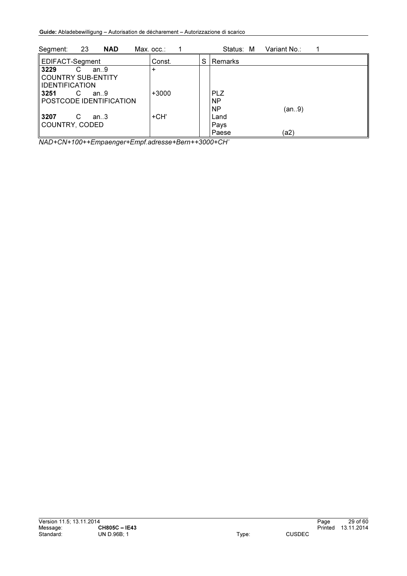| -23<br><b>NAD</b><br>Segment:                                     | Max. occ.∶ | Status: M<br>Variant No.:                     |  |
|-------------------------------------------------------------------|------------|-----------------------------------------------|--|
| EDIFACT-Segment                                                   | Const.     | S<br>Remarks                                  |  |
| 3229<br>an.9<br>C<br>COUNTRY SUB-ENTITY<br><b>IIDENTIFICATION</b> | $\div$     |                                               |  |
| ll 3251<br>C<br>an.9<br>POSTCODE IDENTIFICATION                   | $+3000$    | <b>PLZ</b><br><b>NP</b><br><b>NP</b><br>(an9) |  |
| ll 3207<br>C<br>an.3<br>COUNTRY, CODED                            | +CH'       | Land<br>Pays<br>ัล2)<br>Paese                 |  |

*NAD+CN+100++Empaenger+Empf.adresse+Bern++3000+CH'*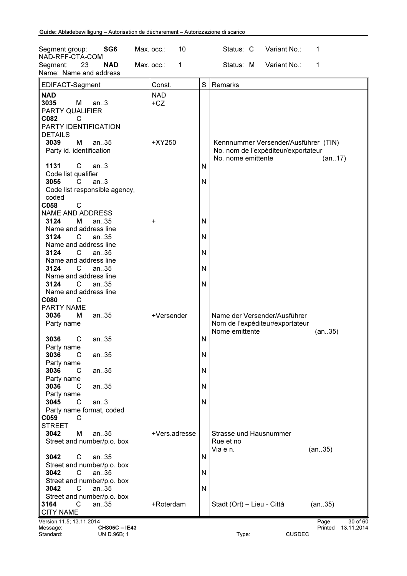| SG <sub>6</sub><br>Segment group:                      | 10<br>Max. occ.: |              | Status: C<br>Variant No.:<br>1                                      |
|--------------------------------------------------------|------------------|--------------|---------------------------------------------------------------------|
| NAD-RFF-CTA-COM                                        |                  |              | Status: M                                                           |
| 23<br><b>NAD</b><br>Segment:<br>Name: Name and address | Max. occ.:<br>1  |              | Variant No.:<br>1                                                   |
|                                                        |                  |              |                                                                     |
| EDIFACT-Segment                                        | Const.           | S            | Remarks                                                             |
| <b>NAD</b>                                             | <b>NAD</b>       |              |                                                                     |
| 3035<br>M<br>an.3                                      | $+CZ$            |              |                                                                     |
| <b>PARTY QUALIFIER</b>                                 |                  |              |                                                                     |
| C082<br>C                                              |                  |              |                                                                     |
| PARTY IDENTIFICATION                                   |                  |              |                                                                     |
| <b>DETAILS</b>                                         |                  |              |                                                                     |
| M<br>3039<br>an.35                                     | +XY250           |              | Kennnummer Versender/Ausführer (TIN)                                |
| Party id. identification                               |                  |              | No. nom de l'expéditeur/exportateur<br>No. nome emittente<br>(an17) |
| C<br>1131<br>an.3                                      |                  | N            |                                                                     |
| Code list qualifier                                    |                  |              |                                                                     |
| 3055<br>an.3<br>C.                                     |                  | $\mathsf{N}$ |                                                                     |
| Code list responsible agency,                          |                  |              |                                                                     |
| coded                                                  |                  |              |                                                                     |
| C058<br>C                                              |                  |              |                                                                     |
| <b>NAME AND ADDRESS</b>                                |                  |              |                                                                     |
| М<br>3124<br>an35                                      | +                | N            |                                                                     |
| Name and address line                                  |                  |              |                                                                     |
| 3124<br>C.<br>an.35                                    |                  | N            |                                                                     |
| Name and address line                                  |                  |              |                                                                     |
| 3124<br>an35<br>C.                                     |                  | N            |                                                                     |
| Name and address line                                  |                  |              |                                                                     |
| 3124<br>C<br>an35                                      |                  | N            |                                                                     |
| Name and address line                                  |                  |              |                                                                     |
| 3124<br>C<br>an $.35$                                  |                  | N            |                                                                     |
| Name and address line                                  |                  |              |                                                                     |
| C080<br>C<br>PARTY NAME                                |                  |              |                                                                     |
| 3036<br>м<br>an.35                                     | +Versender       |              | Name der Versender/Ausführer                                        |
| Party name                                             |                  |              | Nom de l'expéditeur/exportateur                                     |
|                                                        |                  |              | Nome emittente<br>(an35)                                            |
| 3036<br>С<br>an35                                      |                  | N            |                                                                     |
| Party name                                             |                  |              |                                                                     |
| 3036<br>an35<br>С                                      |                  | ${\sf N}$    |                                                                     |
| Party name                                             |                  |              |                                                                     |
| 3036<br>an35<br>C                                      |                  | N            |                                                                     |
| Party name                                             |                  |              |                                                                     |
| 3036<br>an35<br>C                                      |                  | N            |                                                                     |
| Party name                                             |                  |              |                                                                     |
| 3045<br>C<br>an.3                                      |                  | N            |                                                                     |
| Party name format, coded                               |                  |              |                                                                     |
| C059<br>C                                              |                  |              |                                                                     |
| <b>STREET</b>                                          |                  |              |                                                                     |
| 3042<br>M<br>an35                                      | +Vers.adresse    |              | Strasse und Hausnummer                                              |
| Street and number/p.o. box                             |                  |              | Rue et no<br>Via e n.<br>(an35)                                     |
| 3042<br>С<br>an35                                      |                  | N            |                                                                     |
| Street and number/p.o. box                             |                  |              |                                                                     |
| 3042<br>C<br>an.35                                     |                  | N            |                                                                     |
| Street and number/p.o. box                             |                  |              |                                                                     |
| 3042<br>C<br>an35                                      |                  | N            |                                                                     |
| Street and number/p.o. box                             |                  |              |                                                                     |
| C<br>3164<br>an.35                                     | +Roterdam        |              | Stadt (Ort) - Lieu - Città<br>(an35)                                |
| <b>CITY NAME</b>                                       |                  |              |                                                                     |
| Version 11.5; 13.11.2014                               |                  |              | 30 of 60<br>Page                                                    |
| Message:<br>CH805C-IE43                                |                  |              | 13.11.2014<br>Printed                                               |
| Standard:<br>UN D.96B; 1                               |                  |              | Type:<br><b>CUSDEC</b>                                              |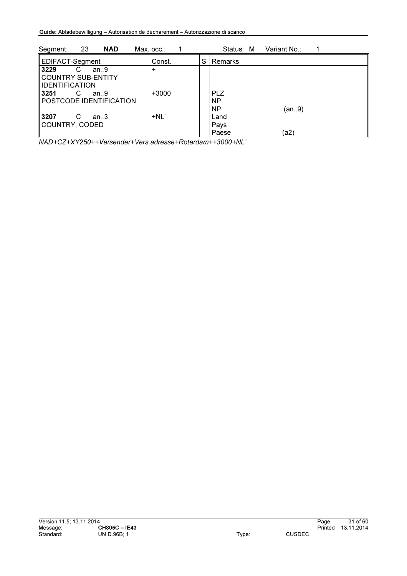| 23<br><b>NAD</b><br>Segment:                                     | Max. occ.∶ | Status: M<br>Variant No.:                     |
|------------------------------------------------------------------|------------|-----------------------------------------------|
| EDIFACT-Segment                                                  | Const.     | S<br>Remarks                                  |
| 3229<br>an.9<br>C<br>COUNTRY SUB-ENTITY<br><b>IDENTIFICATION</b> | $\ddot{}$  |                                               |
| ll 3251<br>С<br>an.9<br>POSTCODE IDENTIFICATION                  | $+3000$    | <b>PLZ</b><br><b>NP</b><br><b>NP</b><br>(an9) |
| ll 3207<br>С<br>an.3<br>COUNTRY, CODED                           | $+NL'$     | Land<br>Pays<br>(a2)<br>Paese                 |

*NAD+CZ+XY250++Versender+Vers.adresse+Roterdam++3000+NL'*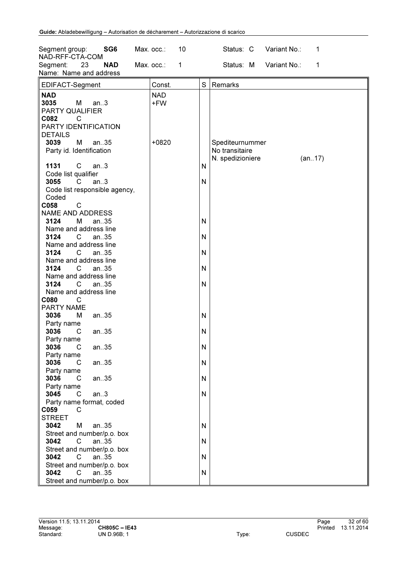| SG <sub>6</sub><br>Segment group:<br>NAD-RFF-CTA-COM<br>Segment:<br>23<br><b>NAD</b>                                                | 10<br>Max. occ.:<br>Max. occ.:<br>$\mathbf{1}$ | Status: C Variant No.:<br>1<br>Variant No.:<br>Status: M<br>1   |
|-------------------------------------------------------------------------------------------------------------------------------------|------------------------------------------------|-----------------------------------------------------------------|
| Name: Name and address                                                                                                              |                                                |                                                                 |
| EDIFACT-Segment                                                                                                                     | Const.                                         | S<br>Remarks                                                    |
| <b>NAD</b><br>3035<br>M <sub>1</sub><br>an.3<br>PARTY QUALIFIER<br>C082<br>$\overline{C}$<br>PARTY IDENTIFICATION<br><b>DETAILS</b> | <b>NAD</b><br>+FW                              |                                                                 |
| 3039<br>М<br>an35<br>Party id. Identification                                                                                       | $+0820$                                        | Spediteurnummer<br>No transitaire<br>N. spedizioniere<br>(an17) |
| 1131<br>$\mathsf{C}$<br>an.3                                                                                                        |                                                | N                                                               |
| Code list qualifier<br>3055<br>$\mathsf{C}$<br>an.3<br>Code list responsible agency,<br>Coded                                       |                                                | N                                                               |
| $\mathsf{C}$<br>C058                                                                                                                |                                                |                                                                 |
| <b>NAME AND ADDRESS</b>                                                                                                             |                                                |                                                                 |
| 3124<br>M<br>an35                                                                                                                   |                                                | N                                                               |
| Name and address line                                                                                                               |                                                |                                                                 |
| 3124<br>$\mathsf{C}^-$<br>an35                                                                                                      |                                                | N                                                               |
| Name and address line                                                                                                               |                                                |                                                                 |
| 3124<br>$\mathsf{C}$<br>an.35<br>Name and address line                                                                              |                                                | N                                                               |
| 3124<br>$\mathsf{C}$<br>an35                                                                                                        |                                                | N                                                               |
| Name and address line                                                                                                               |                                                |                                                                 |
| 3124<br>$\overline{C}$<br>an.35                                                                                                     |                                                | N                                                               |
| Name and address line                                                                                                               |                                                |                                                                 |
| <b>C080</b><br>$\overline{\phantom{a}}$ C                                                                                           |                                                |                                                                 |
| PARTY NAME                                                                                                                          |                                                |                                                                 |
| 3036<br>М<br>an35                                                                                                                   |                                                | N                                                               |
| Party name                                                                                                                          |                                                |                                                                 |
| 3036<br>an35<br>C<br>Party name                                                                                                     |                                                | N                                                               |
| 3036<br>$C$ an. 35                                                                                                                  |                                                | N                                                               |
| Party name                                                                                                                          |                                                |                                                                 |
| 3036<br>C<br>an35                                                                                                                   |                                                | N                                                               |
| Party name                                                                                                                          |                                                |                                                                 |
| 3036<br>an35<br>C                                                                                                                   |                                                | N                                                               |
| Party name                                                                                                                          |                                                |                                                                 |
| 3045<br>an.3<br>C                                                                                                                   |                                                | N                                                               |
| Party name format, coded<br>C059<br>C                                                                                               |                                                |                                                                 |
| <b>STREET</b>                                                                                                                       |                                                |                                                                 |
| 3042<br>M<br>an.35                                                                                                                  |                                                | N                                                               |
| Street and number/p.o. box                                                                                                          |                                                |                                                                 |
| 3042<br>an.35<br>C                                                                                                                  |                                                | N                                                               |
| Street and number/p.o. box                                                                                                          |                                                |                                                                 |
| 3042<br>C<br>an35                                                                                                                   |                                                | N                                                               |
| Street and number/p.o. box<br>3042<br>C<br>an.35                                                                                    |                                                | N                                                               |
| Street and number/p.o. box                                                                                                          |                                                |                                                                 |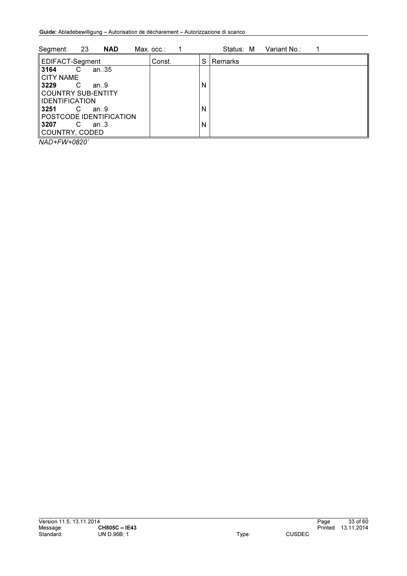| Segment:               | -23 | <b>NAD</b>              | Max. occ.∶ |   | Status: M      | Variant No.: |  |
|------------------------|-----|-------------------------|------------|---|----------------|--------------|--|
| EDIFACT-Segment        |     |                         | Const.     | S | <b>Remarks</b> |              |  |
| 3164                   | C   | an35                    |            |   |                |              |  |
| <b>CITY NAME</b>       |     |                         |            |   |                |              |  |
| 3229                   | C   | an.9                    |            | N |                |              |  |
| COUNTRY SUB-ENTITY     |     |                         |            |   |                |              |  |
| <b>IIDENTIFICATION</b> |     |                         |            |   |                |              |  |
| 3251                   | C   | an.9                    |            | N |                |              |  |
|                        |     | POSTCODE IDENTIFICATION |            |   |                |              |  |
| 3207                   | C   | an.3                    |            | N |                |              |  |
| COUNTRY, CODED         |     |                         |            |   |                |              |  |
| $\cdots$ $\cdots$      |     |                         |            |   |                |              |  |

*NAD+FW+0820'*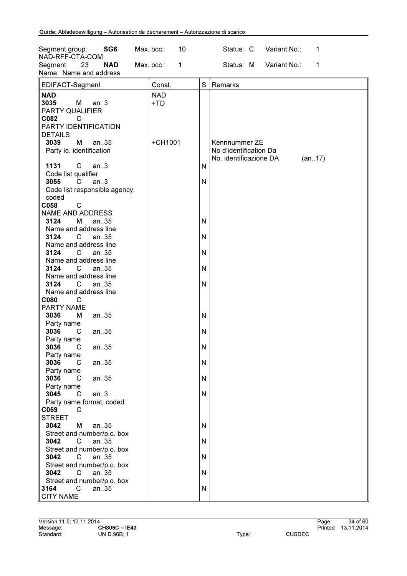| SG6<br>Segment group:<br>NAD-RFF-CTA-COM                                                             | 10<br>Max. occ.:           |        | Status: C<br>Variant No.:<br>1                                              |
|------------------------------------------------------------------------------------------------------|----------------------------|--------|-----------------------------------------------------------------------------|
| Segment:<br>23<br><b>NAD</b><br>Name: Name and address                                               | Max. occ.:<br>$\mathbf{1}$ |        | Status: M<br>Variant No.:<br>1                                              |
| EDIFACT-Segment                                                                                      | Const.                     | S      | Remarks                                                                     |
| <b>NAD</b><br>3035<br>M<br>an.3<br>PARTY QUALIFIER<br>C082<br>C<br>PARTY IDENTIFICATION              | <b>NAD</b><br>$+TD$        |        |                                                                             |
| <b>DETAILS</b><br>3039<br>М<br>an35<br>Party id. identification                                      | +CH1001                    |        | Kennnummer ZE<br>No d'identification Da<br>No. identificazione DA<br>(an17) |
| 1131<br>$\mathsf{C}$<br>an.3<br>Code list qualifier<br>3055<br>C<br>an.3                             |                            | N<br>N |                                                                             |
| Code list responsible agency,<br>coded<br>$\mathsf{C}$<br>C058<br><b>NAME AND ADDRESS</b>            |                            |        |                                                                             |
| 3124<br>М<br>an35<br>Name and address line<br>3124<br>$\mathsf{C}$<br>an35                           |                            | N<br>N |                                                                             |
| Name and address line<br>3124<br>$\mathsf{C}$<br>an35<br>Name and address line<br>3124<br>C.<br>an35 |                            | N<br>N |                                                                             |
| Name and address line<br>3124<br>$\mathsf{C}$<br>an35<br>Name and address line                       |                            | N      |                                                                             |
| C080<br>C<br>PARTY NAME<br>3036<br>М<br>an35<br>Party name                                           |                            | N      |                                                                             |
| 3036<br>an35<br>С<br>Party name<br>3036<br>an35<br>C.                                                |                            | N<br>N |                                                                             |
| Party name<br>3036<br>$\mathsf{C}$<br>an35<br>Party name                                             |                            | N      |                                                                             |
| 3036<br>an35<br>C<br>Party name<br>3045<br>$\mathsf{C}$<br>an.3<br>Party name format, coded          |                            | N<br>N |                                                                             |
| C059<br>C<br><b>STREET</b><br>3042<br>an35<br>М                                                      |                            | N      |                                                                             |
| Street and number/p.o. box<br>3042<br>an35<br>C<br>Street and number/p.o. box                        |                            | N      |                                                                             |
| 3042<br>$\mathsf{C}$<br>an35<br>Street and number/p.o. box<br>3042<br>$\mathsf{C}$<br>an35           |                            | N<br>N |                                                                             |
| Street and number/p.o. box<br>$\mathbf{C}$<br>3164<br>an35<br><b>CITY NAME</b>                       |                            | N      |                                                                             |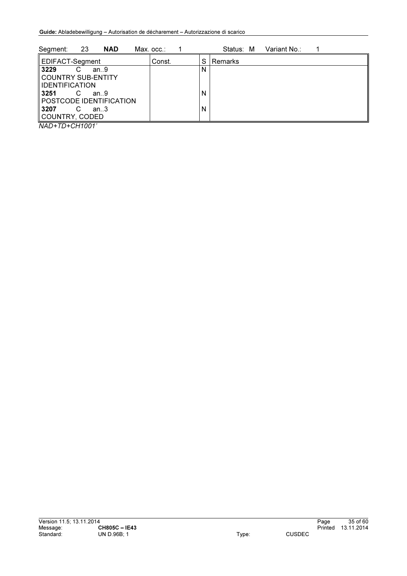| 23<br>Segment:<br><b>NAD</b>                                                                                                           | Max. occ.: | Variant No.:<br>Status: M |
|----------------------------------------------------------------------------------------------------------------------------------------|------------|---------------------------|
| EDIFACT-Segment                                                                                                                        | Const.     | l Remarks<br>S            |
| 3229<br>C<br>an.9<br>COUNTRY SUB-ENTITY<br><b>IIDENTIFICATION</b><br>ll 3251<br>C<br>an.9<br>POSTCODE IDENTIFICATION<br>  3207<br>an.3 |            | N<br>N<br>N               |
| COUNTRY, CODED                                                                                                                         |            |                           |

*NAD+TD+CH1001'*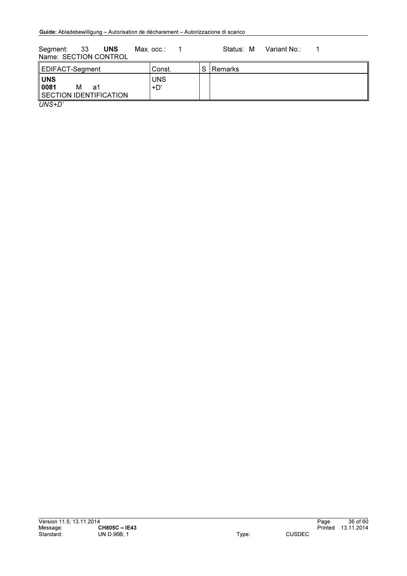Segment: 33 UNS Max. occ.: 1 Status: M Variant No.: 1 Name: SECTION CONTROL

| EDIFACT-Segment                                         | Const.            | C. | <b>I</b> Remarks |
|---------------------------------------------------------|-------------------|----|------------------|
| <b>UNS</b><br>0081<br>м<br>a1<br>SECTION IDENTIFICATION | <b>UNS</b><br>+D' |    |                  |
| $\left($                                                |                   |    |                  |

*UNS+D'*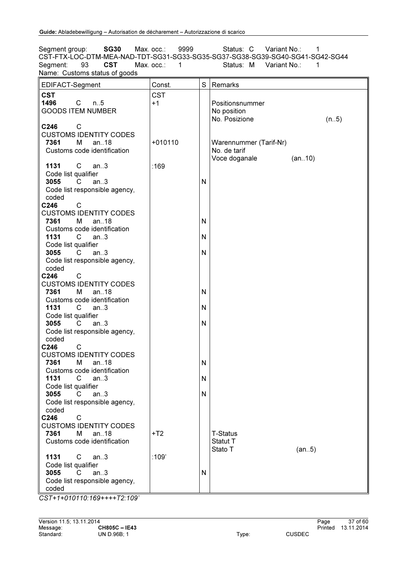Segment group: **SG30** Max. occ.: 9999 Status: C Variant No.: 1 CST-FTX-LOC-DTM-MEA-NAD-TDT-SG31-SG33-SG35-SG37-SG38-SG39-SG40-SG41-SG42-SG44<br>Segment: 93 CST Max. occ.: 1 Status: M Variant No.: 1 Variant No.: Name: Customs status of goods

| <b>CST</b><br><b>CST</b>                                     |  |
|--------------------------------------------------------------|--|
|                                                              |  |
| 1496<br>$\mathsf{C}$<br>$+1$<br>$n_{.}.5$<br>Positionsnummer |  |
| <b>GOODS ITEM NUMBER</b><br>No position                      |  |
| No. Posizione<br>(n.5)                                       |  |
| C246<br>C                                                    |  |
| <b>CUSTOMS IDENTITY CODES</b>                                |  |
| $+010110$<br>7361<br>м<br>an $.18$<br>Warennummer (Tarif-Nr) |  |
| Customs code identification<br>No. de tarif                  |  |
| Voce doganale<br>(an10)                                      |  |
| $\mathsf{C}$<br>:169<br>1131<br>an.3                         |  |
| Code list qualifier                                          |  |
| 3055<br>$\overline{C}$<br>an.3<br>$\mathsf{N}$               |  |
| Code list responsible agency,                                |  |
| coded                                                        |  |
| C246<br>C                                                    |  |
| <b>CUSTOMS IDENTITY CODES</b>                                |  |
| 7361<br>м<br>an18<br>N                                       |  |
| Customs code identification                                  |  |
| 1131<br>C<br>$\mathsf{N}$<br>an.3                            |  |
| Code list qualifier                                          |  |
| 3055<br>$\overline{C}$<br>$\mathsf{N}$<br>an.3               |  |
| Code list responsible agency,                                |  |
| coded                                                        |  |
| C246<br>C                                                    |  |
| <b>CUSTOMS IDENTITY CODES</b>                                |  |
| 7361<br>an.18<br>$\mathsf{N}$<br>м                           |  |
| Customs code identification                                  |  |
| 1131<br>N<br>C<br>an.3                                       |  |
| Code list qualifier                                          |  |
| 3055<br>an.3<br>$\mathsf{N}$<br>C                            |  |
| Code list responsible agency,                                |  |
| coded                                                        |  |
| $\mathsf{C}$<br>C246                                         |  |
| <b>CUSTOMS IDENTITY CODES</b>                                |  |
| 7361<br>М<br>an18<br>$\mathsf{N}$                            |  |
| Customs code identification                                  |  |
| 1131<br>C<br>${\sf N}$<br>an.3                               |  |
| Code list qualifier                                          |  |
| 3055<br>an.3<br>N<br>C                                       |  |
| Code list responsible agency,                                |  |
| coded                                                        |  |
| C246<br>C<br><b>CUSTOMS IDENTITY CODES</b>                   |  |
| 7361<br>м<br>an.18<br>$+T2$<br><b>T-Status</b>               |  |
| Customs code identification<br>Statut T                      |  |
| Stato T<br>(an5)                                             |  |
| 1131<br>:109'<br>C<br>an.3                                   |  |
| Code list qualifier                                          |  |
| 3055<br>C.<br>an.3<br>$\mathsf{N}$                           |  |
| Code list responsible agency,                                |  |
| coded                                                        |  |

*CST+1+010110:169++++T2:109'*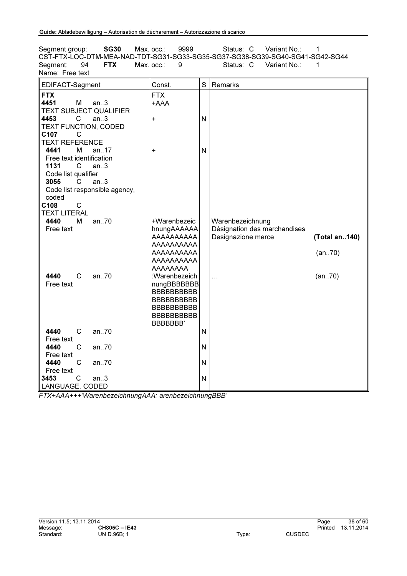Segment group: **SG30** Max. occ.: 9999 Status: C Variant No.: 1 CST-FTX-LOC-DTM-MEA-NAD-TDT-SG31-SG33-SG35-SG37-SG38-SG39-SG40-SG41-SG42-SG44<br>Segment: 94 FTX Max. occ.: 9 Status: C Variant No.: 1 Variant No.: Name: Free text

| EDIFACT-Segment                                                            | Const.                                                                                                                            | S            | Remarks                                                                |               |
|----------------------------------------------------------------------------|-----------------------------------------------------------------------------------------------------------------------------------|--------------|------------------------------------------------------------------------|---------------|
| <b>FTX</b><br>4451<br>М<br>an.3<br><b>TEXT SUBJECT QUALIFIER</b>           | <b>FTX</b><br>+AAA                                                                                                                |              |                                                                        |               |
| 4453<br>$\mathsf{C}$<br>an.3<br>TEXT FUNCTION, CODED<br>C107<br>C          | $\ddot{}$                                                                                                                         | $\mathsf{N}$ |                                                                        |               |
| <b>TEXT REFERENCE</b><br>4441<br>м<br>an17<br>Free text identification     | +                                                                                                                                 | $\mathsf{N}$ |                                                                        |               |
| 1131<br>an.3<br>C<br>Code list qualifier<br>3055<br>C<br>an.3              |                                                                                                                                   |              |                                                                        |               |
| Code list responsible agency,<br>coded<br>C108<br>C<br><b>TEXT LITERAL</b> |                                                                                                                                   |              |                                                                        |               |
| 4440<br>an70<br>М<br>Free text                                             | +Warenbezeic<br>hnungAAAAAA<br>AAAAAAAAA                                                                                          |              | Warenbezeichnung<br>Désignation des marchandises<br>Designazione merce | (Total an140) |
|                                                                            | AAAAAAAAA<br>AAAAAAAAA<br>AAAAAAAAA<br>AAAAAAAA                                                                                   |              |                                                                        | (an70)        |
| 4440<br>C<br>an.70<br>Free text                                            | :Warenbezeich<br>nungBBBBBBBB<br><b>BBBBBBBBBBB</b><br><b>BBBBBBBBBBB</b><br><b>BBBBBBBBBBB</b><br><b>BBBBBBBBBBB</b><br>BBBBBBB' |              | $\ddotsc$                                                              | (an70)        |
| $\mathsf{C}$<br>4440<br>an.70<br>Free text                                 |                                                                                                                                   | $\mathsf{N}$ |                                                                        |               |
| 4440<br>C<br>an.70<br>Free text                                            |                                                                                                                                   | $\mathsf{N}$ |                                                                        |               |
| 4440<br>$\mathsf{C}$<br>an.70<br>Free text                                 |                                                                                                                                   | N            |                                                                        |               |
| C<br>3453<br>an.3<br>LANGUAGE, CODED                                       |                                                                                                                                   | $\mathsf{N}$ |                                                                        |               |

*FTX+AAA+++'WarenbezeichnungAAA: arenbezeichnungBBB'*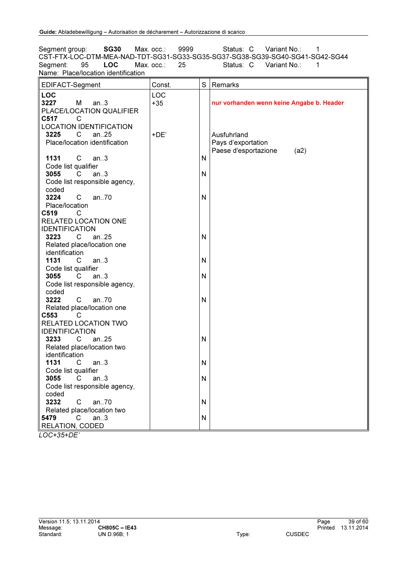Segment group: **SG30** Max. occ.: 9999 Status: C Variant No.: 1 CST-FTX-LOC-DTM-MEA-NAD-TDT-SG31-SG33-SG35-SG37-SG38-SG39-SG40-SG41-SG42-SG44<br>Segment: 95 LOC Max. occ.: 25 Status: C Variant No.: 1 Variant No.: Name: Place/location identification

| EDIFACT-Segment                | Const. | S            | Remarks                                   |
|--------------------------------|--------|--------------|-------------------------------------------|
| <b>LOC</b>                     | LOC    |              |                                           |
| 3227<br>М<br>an.3              | $+35$  |              | nur vorhanden wenn keine Angabe b. Header |
| PLACE/LOCATION QUALIFIER       |        |              |                                           |
| C517<br>C                      |        |              |                                           |
| <b>LOCATION IDENTIFICATION</b> |        |              |                                           |
| 3225<br>an $.25$<br>C          | $+DE$  |              | Ausfuhrland                               |
| Place/location identification  |        |              | Pays d'exportation                        |
|                                |        |              | Paese d'esportazione<br>(a2)              |
| 1131<br>C<br>an.3              |        | $\mathsf{N}$ |                                           |
| Code list qualifier            |        |              |                                           |
| 3055<br>C.<br>an.3             |        | N            |                                           |
| Code list responsible agency,  |        |              |                                           |
| coded                          |        |              |                                           |
| 3224<br>an70<br>C              |        | N            |                                           |
| Place/location                 |        |              |                                           |
| C519<br>$\overline{C}$         |        |              |                                           |
| RELATED LOCATION ONE           |        |              |                                           |
| <b>IDENTIFICATION</b>          |        |              |                                           |
| an25<br>3223<br>C              |        | N            |                                           |
| Related place/location one     |        |              |                                           |
| identification                 |        |              |                                           |
| 1131<br>$\mathbf{C}$<br>an.3   |        | N            |                                           |
| Code list qualifier            |        |              |                                           |
| an.3<br>3055<br>C              |        | N            |                                           |
| Code list responsible agency,  |        |              |                                           |
| coded                          |        |              |                                           |
| 3222<br>$\mathsf{C}$<br>an70   |        | N            |                                           |
| Related place/location one     |        |              |                                           |
| C553<br>$\mathbb C$            |        |              |                                           |
| RELATED LOCATION TWO           |        |              |                                           |
| <b>IDENTIFICATION</b>          |        |              |                                           |
| 3233<br>an. $25$<br>C.         |        | N            |                                           |
| Related place/location two     |        |              |                                           |
| identification                 |        |              |                                           |
| 1131<br>an.3<br>C              |        | N            |                                           |
| Code list qualifier            |        |              |                                           |
| 3055<br>an.3<br>C              |        | N            |                                           |
| Code list responsible agency,  |        |              |                                           |
| coded                          |        |              |                                           |
| 3232<br>$\mathsf{C}$<br>an.70  |        | N            |                                           |
| Related place/location two     |        |              |                                           |
| 5479<br>C<br>an.3              |        | N            |                                           |
| RELATION, CODED                |        |              |                                           |

*LOC+35+DE'*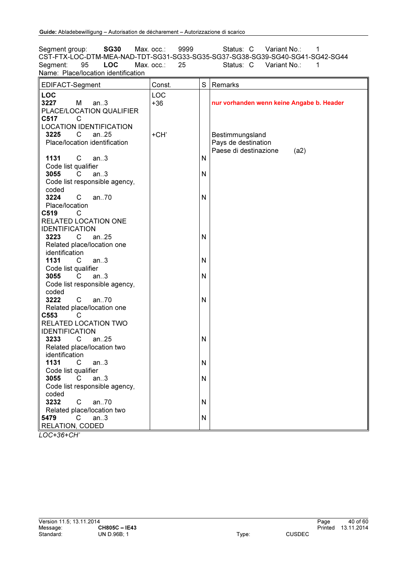Segment group: **SG30** Max. occ.: 9999 Status: C Variant No.: 1 CST-FTX-LOC-DTM-MEA-NAD-TDT-SG31-SG33-SG35-SG37-SG38-SG39-SG40-SG41-SG42-SG44<br>Segment: 95 LOC Max. occ.: 25 Status: C Variant No.: 1 Variant No.: Name: Place/location identification

| EDIFACT-Segment                                 | Const. | S            | Remarks                                   |
|-------------------------------------------------|--------|--------------|-------------------------------------------|
| <b>LOC</b>                                      | LOC    |              |                                           |
| 3227<br>M<br>an.3                               | $+36$  |              | nur vorhanden wenn keine Angabe b. Header |
| PLACE/LOCATION QUALIFIER                        |        |              |                                           |
| C517<br>C                                       |        |              |                                           |
| <b>LOCATION IDENTIFICATION</b>                  |        |              |                                           |
| 3225<br>an $.25$<br>C                           | +CH'   |              | Bestimmungsland                           |
| Place/location identification                   |        |              | Pays de destination                       |
|                                                 |        |              | Paese di destinazione<br>(a2)             |
| 1131<br>C<br>an.3                               |        | $\mathsf{N}$ |                                           |
| Code list qualifier                             |        |              |                                           |
| 3055<br>C.<br>an.3                              |        | N            |                                           |
| Code list responsible agency,                   |        |              |                                           |
| coded                                           |        |              |                                           |
| 3224<br>an70<br>C                               |        | N            |                                           |
| Place/location                                  |        |              |                                           |
| C519<br>- C                                     |        |              |                                           |
| RELATED LOCATION ONE                            |        |              |                                           |
| <b>IDENTIFICATION</b>                           |        |              |                                           |
| an25<br>3223<br>C                               |        | N            |                                           |
| Related place/location one                      |        |              |                                           |
| identification                                  |        |              |                                           |
| 1131<br>$\mathbf{C}$<br>an.3                    |        | N            |                                           |
| Code list qualifier                             |        |              |                                           |
| an.3<br>3055<br>C                               |        | N            |                                           |
| Code list responsible agency,                   |        |              |                                           |
| coded                                           |        |              |                                           |
| 3222<br>$\mathsf{C}$<br>an70                    |        | N            |                                           |
| Related place/location one                      |        |              |                                           |
| C553<br>$\mathbf C$                             |        |              |                                           |
| RELATED LOCATION TWO                            |        |              |                                           |
| <b>IDENTIFICATION</b><br>3233<br>an $.25$<br>C. |        | N            |                                           |
|                                                 |        |              |                                           |
| Related place/location two<br>identification    |        |              |                                           |
| 1131<br>an.3<br>C                               |        | N            |                                           |
| Code list qualifier                             |        |              |                                           |
| 3055<br>an.3<br>C                               |        | N            |                                           |
| Code list responsible agency,                   |        |              |                                           |
| coded                                           |        |              |                                           |
| 3232<br>$\mathsf{C}$<br>an70                    |        | N            |                                           |
| Related place/location two                      |        |              |                                           |
| 5479<br>C<br>an.3                               |        | N            |                                           |
| RELATION, CODED                                 |        |              |                                           |

*LOC+36+CH'*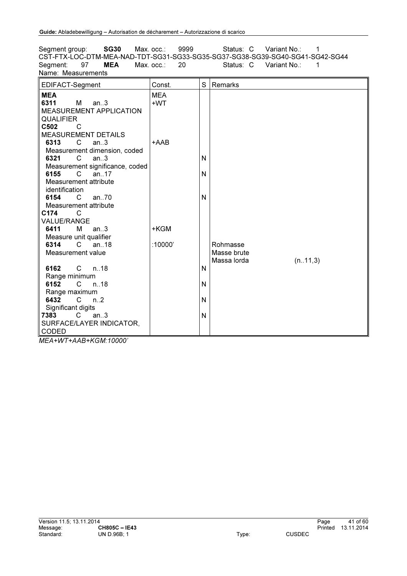Segment group: **SG30** Max. occ.: 9999 Status: C Variant No.: 1 CST-FTX-LOC-DTM-MEA-NAD-TDT-SG31-SG33-SG35-SG37-SG38-SG39-SG40-SG41-SG42-SG44<br>Segment: 97 MEA Max. occ.: 20 Status: C Variant No.: 1 Variant No.: 1 Name: Measurements EDIFACT-Segment Const. S Remarks **MEA**  $\begin{array}{ccc}\n\mathsf{MEA} \\
\mathsf{6311} \\
\mathsf{M} & \mathsf{an.3}\n\end{array}$   $\begin{array}{ccc}\n\mathsf{MEA} \\
\mathsf{+WT}\n\end{array}$  $M$  an..3 MEASUREMENT APPLICATION **QUALIFIER** +WT C502 C MEASUREMENT DETAILS<br>6313 C an..3 an. $3$ Measurement dimension, coded<br>6321 C an..3 +AAB  $an.3$ Measurement significance, coded<br>6155 C an..17 N C an..17 Measurement attribute identification N 6154 C an..70 Measurement attribute<br>
2174 C N C174 VALUE/RANGE<br>6411 M an $.3$ Measure unit qualifier<br>6314 C an 18 +KGM  $^{\degree}$ an...18 Measurement value :10000' Rohmasse Masse brute Massa lorda (n..11,3) 6162 C n..18 Range minimum N 6152 C n..18 Range maximum<br>6432 C n. N 6432 C n.2 Significant digits N 7383 C an..3 SURFACE/LAYER INDICATOR, CODED N

*MEA+WT+AAB+KGM:10000'*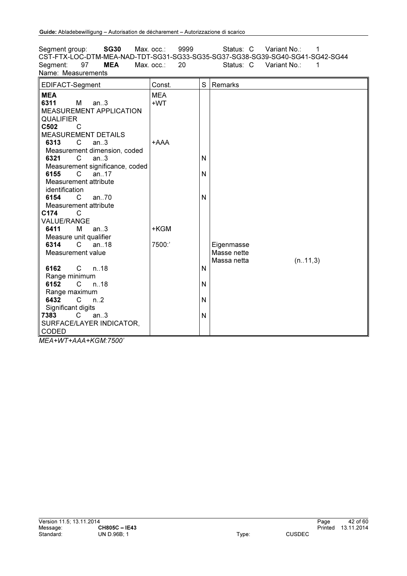Segment group: **SG30** Max. occ.: 9999 Status: C Variant No.: 1 CST-FTX-LOC-DTM-MEA-NAD-TDT-SG31-SG33-SG35-SG37-SG38-SG39-SG40-SG41-SG42-SG44<br>Segment: 97 MEA Max. occ.: 20 Status: C Variant No.: 1 Variant No.: 1 Name: Measurements EDIFACT-Segment Const. S Remarks **MEA**  $\begin{array}{ccc}\n\mathsf{MEA} \\
\mathsf{6311} \\
\mathsf{M} & \mathsf{an.3}\n\end{array}$   $\begin{array}{ccc}\n\mathsf{MEA} \\
\mathsf{+WT}\n\end{array}$  $M$  an..3 MEASUREMENT APPLICATION **QUALIFIER** +WT C502 C MEASUREMENT DETAILS<br>6313 C an..3 an. $3$ Measurement dimension, coded<br>6321 C an..3 +AAA  $an.3$ Measurement significance, coded<br>6155 C an..17 N C an..17 Measurement attribute identification N 6154 C an..70 Measurement attribute<br>
2174 C N C174 VALUE/RANGE<br>6411 M an $.3$ Measure unit qualifier<br>6314 C an 18 +KGM  $^{\degree}$ an...18 Measurement value 7500:' Eigenmasse Masse nette Massa netta (n..11,3) 6162 C n..18 Range minimum N 6152 C n..18 Range maximum<br>6432 C n. N 6432 C n.2 Significant digits N 7383 C an..3 N

*MEA+WT+AAA+KGM:7500'*

CODED

SURFACE/LAYER INDICATOR,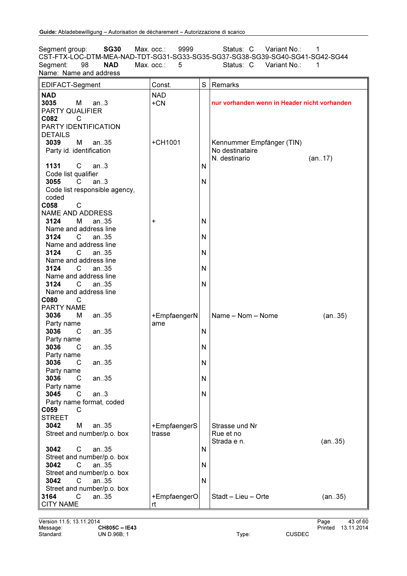Segment group: **SG30** Max. occ.: 9999 Status: C Variant No.: 1 CST-FTX-LOC-DTM-MEA-NAD-TDT-SG31-SG33-SG35-SG37-SG38-SG39-SG40-SG41-SG42-SG44<br>Segment: 98 **NAD** Max. occ.: 5 Status: C Variant No.: 1 Variant No.: Name: Name and address

| EDIFACT-Segment               | Const.       | S | Remarks                                      |
|-------------------------------|--------------|---|----------------------------------------------|
| <b>NAD</b>                    | <b>NAD</b>   |   |                                              |
| 3035<br>M<br>an.3             | $+CN$        |   | nur vorhanden wenn in Header nicht vorhanden |
| PARTY QUALIFIER               |              |   |                                              |
| C082                          |              |   |                                              |
| C                             |              |   |                                              |
| PARTY IDENTIFICATION          |              |   |                                              |
| <b>DETAILS</b>                |              |   |                                              |
| 3039<br>М<br>an35             | +CH1001      |   | Kennummer Empfänger (TIN)                    |
| Party id. identification      |              |   | No destinataire                              |
|                               |              |   | N. destinario<br>(an17)                      |
| C<br>1131<br>an.3             |              | N |                                              |
|                               |              |   |                                              |
| Code list qualifier           |              |   |                                              |
| 3055<br>C<br>an.3             |              | N |                                              |
| Code list responsible agency, |              |   |                                              |
| coded                         |              |   |                                              |
| C058<br>C                     |              |   |                                              |
| <b>NAME AND ADDRESS</b>       |              |   |                                              |
| 3124<br>М<br>an $.35$         | +            | N |                                              |
| Name and address line         |              |   |                                              |
| 3124<br>an.35<br>C.           |              | N |                                              |
|                               |              |   |                                              |
| Name and address line         |              |   |                                              |
| 3124<br>C<br>an.35            |              | N |                                              |
| Name and address line         |              |   |                                              |
| 3124<br>C<br>an.35            |              | N |                                              |
| Name and address line         |              |   |                                              |
| 3124<br>$\mathsf{C}$<br>an.35 |              | N |                                              |
| Name and address line         |              |   |                                              |
| C080<br>C                     |              |   |                                              |
| <b>PARTY NAME</b>             |              |   |                                              |
|                               |              |   |                                              |
| 3036<br>М<br>an35             | +EmpfaengerN |   | Name - Nom - Nome<br>(an35)                  |
| Party name                    | ame          |   |                                              |
| 3036<br>an35<br>C             |              | N |                                              |
| Party name                    |              |   |                                              |
| 3036<br>an35<br>C             |              | N |                                              |
| Party name                    |              |   |                                              |
| 3036<br>C<br>an35             |              | N |                                              |
| Party name                    |              |   |                                              |
| 3036<br>С<br>an35             |              | N |                                              |
| Party name                    |              |   |                                              |
| 3045<br>C<br>an.3             |              | N |                                              |
|                               |              |   |                                              |
| Party name format, coded      |              |   |                                              |
| C059<br>C                     |              |   |                                              |
| <b>STREET</b>                 |              |   |                                              |
| 3042<br>м<br>an.35            | +EmpfaengerS |   | Strasse und Nr                               |
| Street and number/p.o. box    | trasse       |   | Rue et no                                    |
|                               |              |   | Strada e n.<br>(an35)                        |
| 3042<br>С<br>an.35            |              | N |                                              |
| Street and number/p.o. box    |              |   |                                              |
| C<br>3042<br>an.35            |              | N |                                              |
|                               |              |   |                                              |
| Street and number/p.o. box    |              |   |                                              |
| 3042<br>C<br>an.35            |              | N |                                              |
| Street and number/p.o. box    |              |   |                                              |
| $\mathsf{C}$<br>3164<br>an35  | +EmpfaengerO |   | Stadt - Lieu - Orte<br>(an35)                |
| <b>CITY NAME</b>              | rt           |   |                                              |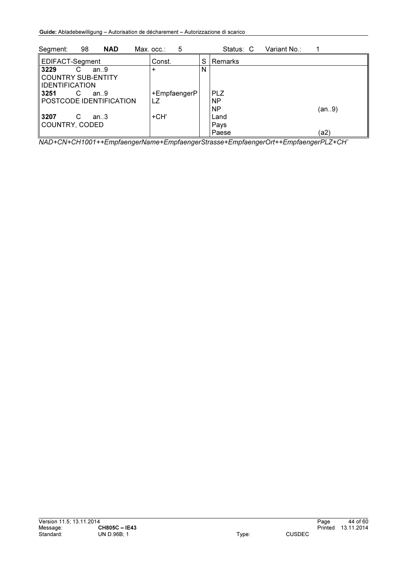| 98<br><b>NAD</b><br>Segment: | 5<br>Max. occ.∶ |   | Status: C  | Variant No∴ |       |
|------------------------------|-----------------|---|------------|-------------|-------|
| EDIFACT-Segment              | Const.          | S | Remarks    |             |       |
| 3229<br>an.9<br>C            | +               | N |            |             |       |
| COUNTRY SUB-ENTITY           |                 |   |            |             |       |
| <b>IIDENTIFICATION</b>       |                 |   |            |             |       |
| ll 3251<br>C<br>an.9         | +EmpfaengerP    |   | <b>PLZ</b> |             |       |
| POSTCODE IDENTIFICATION      | LZ              |   | <b>NP</b>  |             |       |
|                              |                 |   | <b>NP</b>  |             | (an9) |
| <b>3207</b><br>С<br>an.3     | +CH'            |   | Land       |             |       |
| COUNTRY, CODED               |                 |   | Pays       |             |       |
|                              |                 |   | Paese      |             | (a2)  |

*NAD+CN+CH1001++EmpfaengerName+EmpfaengerStrasse+EmpfaengerOrt++EmpfaengerPLZ+CH'*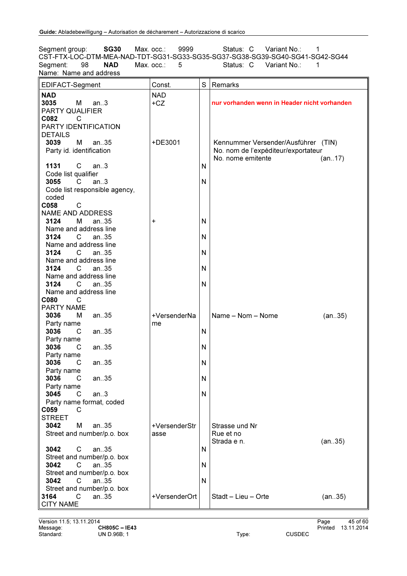Segment group: **SG30** Max. occ.: 9999 Status: C Variant No.: 1 CST-FTX-LOC-DTM-MEA-NAD-TDT-SG31-SG33-SG35-SG37-SG38-SG39-SG40-SG41-SG42-SG44<br>Segment: 98 **NAD** Max. occ.: 5 Status: C Variant No.: 1 Variant No.: Name: Name and address

| EDIFACT-Segment                 | Const.        | S | Remarks                                      |
|---------------------------------|---------------|---|----------------------------------------------|
| <b>NAD</b>                      | <b>NAD</b>    |   |                                              |
| 3035<br>М<br>an.3               | $+CZ$         |   | nur vorhanden wenn in Header nicht vorhanden |
| PARTY QUALIFIER                 |               |   |                                              |
| C082<br>C                       |               |   |                                              |
| PARTY IDENTIFICATION            |               |   |                                              |
|                                 |               |   |                                              |
| <b>DETAILS</b>                  |               |   |                                              |
| an35<br>3039<br>м               | +DE3001       |   | Kennummer Versender/Ausführer (TIN)          |
| Party id. identification        |               |   | No. nom de l'expéditeur/exportateur          |
|                                 |               |   | No. nome emitente<br>(an17)                  |
| $\mathsf{C}$<br>1131<br>an.3    |               | N |                                              |
| Code list qualifier             |               |   |                                              |
| 3055<br>C.<br>an.3              |               | N |                                              |
| Code list responsible agency,   |               |   |                                              |
| coded                           |               |   |                                              |
| C058<br>C                       |               |   |                                              |
| <b>NAME AND ADDRESS</b>         |               |   |                                              |
| 3124<br>м<br>an.35              | +             | N |                                              |
| Name and address line           |               |   |                                              |
| 3124<br>an.35<br>C.             |               | N |                                              |
| Name and address line           |               |   |                                              |
| 3124<br>C<br>an35               |               | N |                                              |
| Name and address line           |               |   |                                              |
| 3124<br>C<br>an.35              |               | N |                                              |
| Name and address line           |               |   |                                              |
| 3124<br>C<br>an35               |               | N |                                              |
| Name and address line           |               |   |                                              |
| C080<br>C                       |               |   |                                              |
| <b>PARTY NAME</b>               |               |   |                                              |
| 3036<br>м<br>an35               | +VersenderNa  |   | Name - Nom - Nome<br>(an35)                  |
| Party name                      | me            |   |                                              |
| 3036<br>an35<br>C               |               | N |                                              |
| Party name                      |               |   |                                              |
| 3036<br>an35<br>С               |               | N |                                              |
| Party name                      |               |   |                                              |
| 3036                            |               | N |                                              |
| C<br>an35                       |               |   |                                              |
| Party name                      |               |   |                                              |
| 3036<br>С<br>an35               |               | N |                                              |
| Party name<br>3045<br>C<br>an.3 |               | N |                                              |
|                                 |               |   |                                              |
| Party name format, coded        |               |   |                                              |
| C059<br>C                       |               |   |                                              |
| <b>STREET</b>                   |               |   |                                              |
| 3042<br>м<br>an.35              | +VersenderStr |   | Strasse und Nr                               |
| Street and number/p.o. box      | asse          |   | Rue et no                                    |
|                                 |               |   | Strada e n.<br>(an35)                        |
| 3042<br>C<br>an.35              |               | N |                                              |
| Street and number/p.o. box      |               |   |                                              |
| 3042<br>C<br>an.35              |               | N |                                              |
| Street and number/p.o. box      |               |   |                                              |
| 3042<br>C<br>an.35              |               | N |                                              |
| Street and number/p.o. box      |               |   |                                              |
| $\mathsf{C}$<br>3164<br>an35    | +VersenderOrt |   | Stadt - Lieu - Orte<br>(an35)                |
| <b>CITY NAME</b>                |               |   |                                              |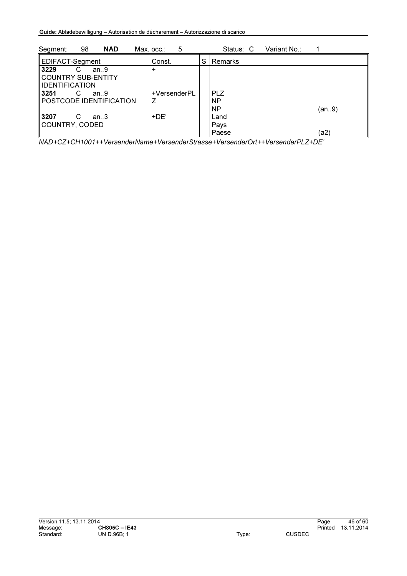| 98<br><b>NAD</b><br>Segment:                                      | 5<br>Max. occ.∶   |   | Status: C                            | Variant No.: |       |
|-------------------------------------------------------------------|-------------------|---|--------------------------------------|--------------|-------|
| EDIFACT-Segment                                                   | Const.            | S | Remarks                              |              |       |
| 3229<br>C<br>an.9<br>COUNTRY SUB-ENTITY<br><b>IIDENTIFICATION</b> |                   |   |                                      |              |       |
| ll 3251<br>С<br>an.9<br>POSTCODE IDENTIFICATION                   | +VersenderPL<br>Z |   | <b>PLZ</b><br><b>NP</b><br><b>NP</b> |              | (an9) |
| ll 3207<br>C<br>an.3<br>COUNTRY, CODED                            | $+DE'$            |   | Land<br>Pays<br>Paese                |              | (a2)  |

*NAD+CZ+CH1001++VersenderName+VersenderStrasse+VersenderOrt++VersenderPLZ+DE'*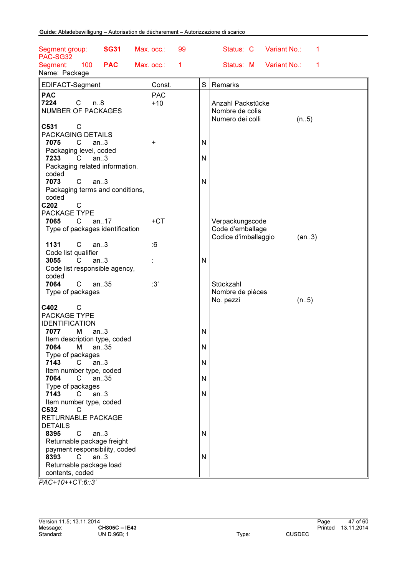| <b>SG31</b><br>Segment group:<br>PAC-SG32 | Max. occ.:<br>99 |              | Status: C<br>Variant No.:<br>1 |
|-------------------------------------------|------------------|--------------|--------------------------------|
| 100<br><b>PAC</b><br>Segment:             | Max. occ.:<br>1  |              | Variant No.:<br>Status: M<br>1 |
| Name: Package                             |                  |              |                                |
|                                           |                  | $\mathsf{S}$ | Remarks                        |
| EDIFACT-Segment                           | Const.           |              |                                |
| <b>PAC</b>                                | <b>PAC</b>       |              |                                |
| 7224<br>$\mathsf{C}$<br>n.8               | $+10$            |              | Anzahl Packstücke              |
| <b>NUMBER OF PACKAGES</b>                 |                  |              | Nombre de colis                |
|                                           |                  |              | Numero dei colli<br>(n.5)      |
| C531<br>С                                 |                  |              |                                |
| PACKAGING DETAILS<br>7075<br>C.<br>an.3   | +                | $\mathsf{N}$ |                                |
| Packaging level, coded                    |                  |              |                                |
| 7233<br>an.3<br>C.                        |                  | N            |                                |
| Packaging related information,            |                  |              |                                |
| coded                                     |                  |              |                                |
| $\mathsf{C}$<br>7073<br>an.3              |                  | N            |                                |
| Packaging terms and conditions,           |                  |              |                                |
| coded                                     |                  |              |                                |
| C202<br>C                                 |                  |              |                                |
| PACKAGE TYPE                              |                  |              |                                |
| 7065<br>C<br>an.17                        | $+CT$            |              | Verpackungscode                |
| Type of packages identification           |                  |              | Code d'emballage               |
|                                           |                  |              | Codice d'imballaggio<br>(an3)  |
| 1131<br>C<br>an.3                         | :6               |              |                                |
| Code list qualifier                       |                  |              |                                |
| 3055<br>an.3<br>C                         |                  | $\mathsf{N}$ |                                |
| Code list responsible agency,             |                  |              |                                |
| coded<br>C<br>7064<br>an35                | :3'              |              |                                |
| Type of packages                          |                  |              | Stückzahl<br>Nombre de pièces  |
|                                           |                  |              | No. pezzi<br>(n.5)             |
| C402<br>С                                 |                  |              |                                |
| PACKAGE TYPE                              |                  |              |                                |
| <b>IDENTIFICATION</b>                     |                  |              |                                |
| 7077<br>М<br>an.3                         |                  | $\mathsf{N}$ |                                |
| Item description type, coded              |                  |              |                                |
| 7064<br>an35<br>м                         |                  | ${\sf N}$    |                                |
| Type of packages                          |                  |              |                                |
| 7143<br>С<br>an.3                         |                  | $\mathsf{N}$ |                                |
| Item number type, coded                   |                  |              |                                |
| 7064<br>C<br>an35                         |                  | N            |                                |
| Type of packages                          |                  |              |                                |
| 7143<br>C<br>an.3                         |                  | N            |                                |
| Item number type, coded                   |                  |              |                                |
| C532<br>C<br>RETURNABLE PACKAGE           |                  |              |                                |
| <b>DETAILS</b>                            |                  |              |                                |
| 8395<br>C<br>an.3                         |                  | N            |                                |
| Returnable package freight                |                  |              |                                |
| payment responsibility, coded             |                  |              |                                |
| 8393<br>C<br>an.3                         |                  | N            |                                |
| Returnable package load                   |                  |              |                                |
| contents, coded                           |                  |              |                                |

*PAC+10++CT:6::3'*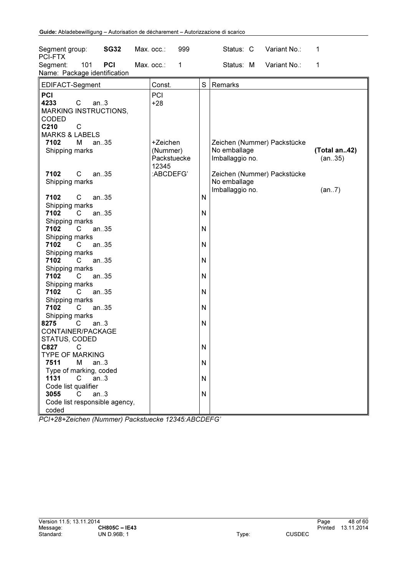| Segment group:<br><b>SG32</b><br>PCI-FTX                                                                                                                                                                                                                                                                                                                                                                                                                                                                                                                                                                                                                                                                                                                                                                                                                                              | Max. occ.: |                                                                           | 999          |                                                               | Status: C                                                          | Variant No.:                                               | 1                               |
|---------------------------------------------------------------------------------------------------------------------------------------------------------------------------------------------------------------------------------------------------------------------------------------------------------------------------------------------------------------------------------------------------------------------------------------------------------------------------------------------------------------------------------------------------------------------------------------------------------------------------------------------------------------------------------------------------------------------------------------------------------------------------------------------------------------------------------------------------------------------------------------|------------|---------------------------------------------------------------------------|--------------|---------------------------------------------------------------|--------------------------------------------------------------------|------------------------------------------------------------|---------------------------------|
| 101<br>PCI<br>Segment:<br>Name: Package identification                                                                                                                                                                                                                                                                                                                                                                                                                                                                                                                                                                                                                                                                                                                                                                                                                                | Max. occ.: |                                                                           | $\mathbf{1}$ |                                                               | Status: M                                                          | Variant No.:                                               | 1                               |
| EDIFACT-Segment                                                                                                                                                                                                                                                                                                                                                                                                                                                                                                                                                                                                                                                                                                                                                                                                                                                                       |            | Const.                                                                    |              | S                                                             | Remarks                                                            |                                                            |                                 |
| PCI<br>4233<br>$\mathsf C$<br>an.3<br><b>MARKING INSTRUCTIONS,</b><br>CODED<br>C210<br>$\mathsf{C}$<br><b>MARKS &amp; LABELS</b><br>an35<br>7102<br>м<br>Shipping marks<br>$\mathsf{C}$<br>7102<br>an35<br>Shipping marks<br>7102<br>$\mathsf{C}$<br>an35<br>Shipping marks<br>7102<br>$\mathsf{C}$<br>an35<br>Shipping marks<br>an35<br>7102<br>C<br>Shipping marks<br>7102<br>an35<br>C<br>Shipping marks<br>7102<br>$\mathsf{C}$<br>an35<br>Shipping marks<br>7102<br>$\mathsf{C}$<br>an35<br>Shipping marks<br>7102<br>C<br>an35<br>Shipping marks<br>7102<br>an35<br>C<br>Shipping marks<br>8275<br>an.3<br>C.<br>CONTAINER/PACKAGE<br>STATUS, CODED<br>C827<br>$\mathbf C$<br><b>TYPE OF MARKING</b><br>7511<br>М<br>an.3<br>Type of marking, coded<br>1131<br>an.3<br>$\overline{C}$<br>Code list qualifier<br>3055<br>an.3<br>$\mathsf{C}^-$<br>Code list responsible agency, |            | PCI<br>$+28$<br>+Zeichen<br>(Nummer)<br>Packstuecke<br>12345<br>:ABCDEFG' |              | N<br>N<br>N<br>N<br>N<br>N<br>N<br>N<br>N<br>N<br>N<br>N<br>N | No emballage<br>Imballaggio no.<br>No emballage<br>Imballaggio no. | Zeichen (Nummer) Packstücke<br>Zeichen (Nummer) Packstücke | (Total an42)<br>(an35)<br>(an7) |
| coded                                                                                                                                                                                                                                                                                                                                                                                                                                                                                                                                                                                                                                                                                                                                                                                                                                                                                 |            |                                                                           |              |                                                               |                                                                    |                                                            |                                 |

*PCI+28+Zeichen (Nummer) Packstuecke 12345:ABCDEFG'*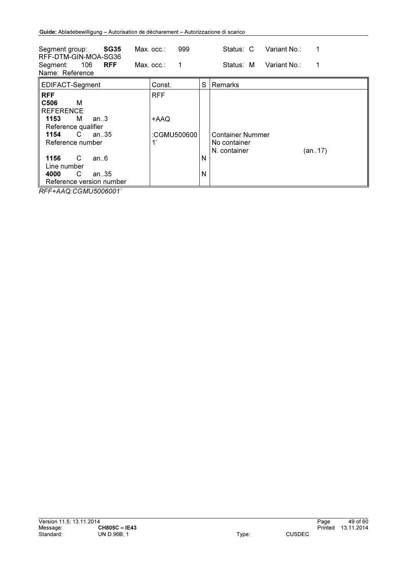| Segment group:<br><b>SG35</b><br>RFF-DTM-GIN-MOA-SG36<br><b>RFF</b><br>106<br>Segment:                                                                                                                                         | $Max.$ $occ.$ :<br>Max. occ∴ | 999<br>1                                |        | Variant No.:<br>Status: C<br>1<br>Variant No∴<br>Status: M        |
|--------------------------------------------------------------------------------------------------------------------------------------------------------------------------------------------------------------------------------|------------------------------|-----------------------------------------|--------|-------------------------------------------------------------------|
| Name: Reference                                                                                                                                                                                                                |                              |                                         |        |                                                                   |
| EDIFACT-Segment                                                                                                                                                                                                                |                              | Const.                                  | S      | Remarks                                                           |
| <b>RFF</b><br>C506<br>м<br><b>REFERENCE</b><br>1153<br>м<br>an.3<br>Reference qualifier<br>C.<br>1154<br>an. $35$<br>Reference number<br>1156<br>C<br>an.6<br>Line number<br>C<br>4000<br>an. $35$<br>Reference version number |                              | <b>RFF</b><br>+AAQ<br>:CGMU500600<br>1' | N<br>N | <b>Container Nummer</b><br>No container<br>N. container<br>(an17) |

*RFF+AAQ:CGMU5006001'*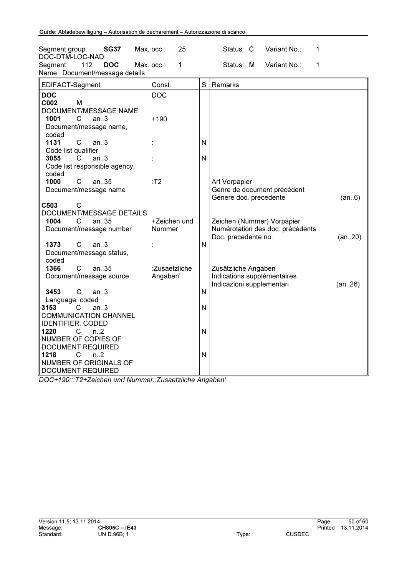| <b>SG37</b><br>Segment group:                                                                                | 25<br>Max. occ.:          |              | Variant No.:<br>1<br>Status: C                                                        |         |
|--------------------------------------------------------------------------------------------------------------|---------------------------|--------------|---------------------------------------------------------------------------------------|---------|
| DOC-DTM-LOC-NAD<br>112<br>Segment:<br><b>DOC</b><br>Name: Document/message details                           | 1<br>Max. occ.:           |              | 1<br>Status: M<br>Variant No.:                                                        |         |
| EDIFACT-Segment                                                                                              | Const.                    | S            | Remarks                                                                               |         |
| <b>DOC</b>                                                                                                   | <b>DOC</b>                |              |                                                                                       |         |
| C002<br>M<br>DOCUMENT/MESSAGE NAME                                                                           |                           |              |                                                                                       |         |
| 1001<br>C<br>an3<br>Document/message name,<br>coded                                                          | $+190$                    |              |                                                                                       |         |
| 1131<br>$\mathsf{C}$<br>an.3<br>Code list qualifier                                                          |                           | N            |                                                                                       |         |
| 3055<br>C<br>an3<br>Code list responsible agency,<br>coded                                                   |                           | N            |                                                                                       |         |
| 1000<br>C<br>an35<br>Document/message name                                                                   | T2                        |              | Art Vorpapier<br>Genre de document précédent<br>Genere doc. precedente                | (an6)   |
| C503<br>C                                                                                                    |                           |              |                                                                                       |         |
| DOCUMENT/MESSAGE DETAILS<br>1004<br>an.35<br>C                                                               | +Zeichen und              |              |                                                                                       |         |
| Document/message number                                                                                      | Nummer                    |              | Zeichen (Nummer) Vorpapier<br>Numérotation des doc. précédents<br>Doc. precedente no. | (an.20) |
| 1373<br>C<br>an.3<br>Document/message status,<br>coded                                                       |                           | N            |                                                                                       |         |
| 1366<br>C<br>an35<br>Document/message source                                                                 | :Zusaetzliche<br>Angaben' |              | Zusätzliche Angaben<br>Indications supplémentaires<br>Indicazioni supplementari       | (an26)  |
| 3453<br>$\mathsf{C}$<br>an.3                                                                                 |                           | $\mathsf{N}$ |                                                                                       |         |
| Language, coded<br>3153<br>C<br>an.3<br><b>COMMUNICATION CHANNEL</b>                                         |                           | $\mathsf{N}$ |                                                                                       |         |
| <b>IDENTIFIER, CODED</b><br>1220<br>C<br>n <sub>1</sub> 2<br>NUMBER OF COPIES OF<br><b>DOCUMENT REQUIRED</b> |                           | N            |                                                                                       |         |
| 1218<br>n <sub>2</sub><br>C.<br>NUMBER OF ORIGINALS OF<br><b>DOCUMENT REQUIRED</b>                           |                           | N            |                                                                                       |         |

*DOC+190:::T2+Zeichen und Nummer::Zusaetzliche Angaben'*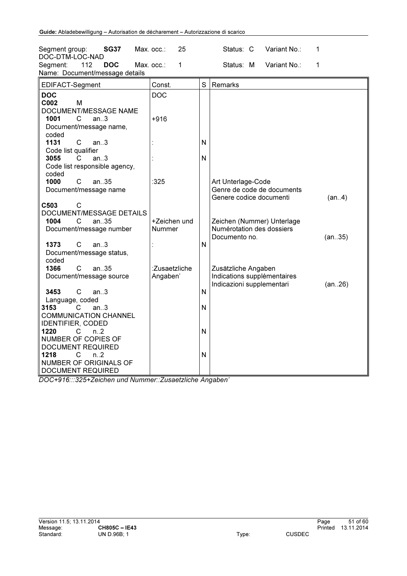| Segment group:<br><b>SG37</b>                                                                      | Max. occ.:<br>25          |              | Variant No.:<br>Status: C                                                       | 1       |
|----------------------------------------------------------------------------------------------------|---------------------------|--------------|---------------------------------------------------------------------------------|---------|
| DOC-DTM-LOC-NAD<br>112<br><b>DOC</b><br>Segment:<br>Name: Document/message details                 | Max. occ.:<br>1           |              | Status: M<br>Variant No.:                                                       | 1       |
| EDIFACT-Segment                                                                                    | Const.                    | S            | Remarks                                                                         |         |
| <b>DOC</b><br>C002<br>M                                                                            | <b>DOC</b>                |              |                                                                                 |         |
| DOCUMENT/MESSAGE NAME<br>1001<br>C<br>an.3                                                         | +916                      |              |                                                                                 |         |
| Document/message name,<br>coded                                                                    |                           |              |                                                                                 |         |
| 1131<br>$\mathsf{C}$<br>an.3<br>Code list qualifier                                                |                           | N            |                                                                                 |         |
| 3055<br>C<br>an.3<br>Code list responsible agency,<br>coded                                        |                           | N            |                                                                                 |         |
| 1000<br>an.35<br>C<br>Document/message name                                                        | :325                      |              | Art Unterlage-Code<br>Genre de code de documents<br>Genere codice documenti     | (an4)   |
| C503<br>C                                                                                          |                           |              |                                                                                 |         |
| DOCUMENT/MESSAGE DETAILS<br>1004<br>an35<br>С                                                      | +Zeichen und              |              | Zeichen (Nummer) Unterlage                                                      |         |
| Document/message number                                                                            | <b>Nummer</b>             |              | Numérotation des dossiers<br>Documento no.                                      | (an35)  |
| 1373<br>C<br>an.3<br>Document/message status,<br>coded                                             |                           | N            |                                                                                 |         |
| 1366<br>C<br>an35<br>Document/message source                                                       | :Zusaetzliche<br>Angaben' |              | Zusätzliche Angaben<br>Indications supplémentaires<br>Indicazioni supplementari | (an.26) |
| 3453<br>C<br>an.3<br>Language, coded                                                               |                           | N            |                                                                                 |         |
| 3153<br>C<br>an.3<br><b>COMMUNICATION CHANNEL</b>                                                  |                           | $\mathsf{N}$ |                                                                                 |         |
| <b>IDENTIFIER, CODED</b><br>1220<br>C<br>$n_{.}.2$<br>NUMBER OF COPIES OF                          |                           | N            |                                                                                 |         |
| <b>DOCUMENT REQUIRED</b><br>1218<br>n.2<br>С<br>NUMBER OF ORIGINALS OF<br><b>DOCUMENT REQUIRED</b> |                           | N            |                                                                                 |         |

*DOC+916:::325+Zeichen und Nummer::Zusaetzliche Angaben'*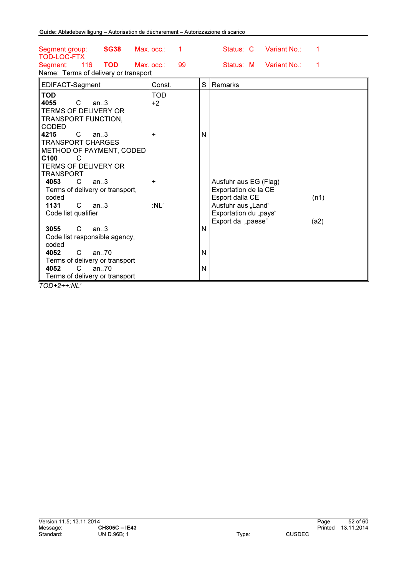| <b>SG38</b><br>Segment group:<br><b>TOD-LOC-FTX</b>                                                                                             | Max. occ.:              |   | Status: C                                                                              | Variant No.: |      |
|-------------------------------------------------------------------------------------------------------------------------------------------------|-------------------------|---|----------------------------------------------------------------------------------------|--------------|------|
| 116<br><b>TOD</b><br>Segment:<br>Name: Terms of delivery or transport                                                                           | 99<br>Max. occ.:        |   | Status: M                                                                              | Variant No.: | 1    |
| EDIFACT-Segment                                                                                                                                 | Const.                  | S | Remarks                                                                                |              |      |
| <b>TOD</b><br>4055<br>C<br>an.3<br><b>TERMS OF DELIVERY OR</b><br>TRANSPORT FUNCTION,<br>CODED<br>4215<br>C<br>an.3<br><b>TRANSPORT CHARGES</b> | <b>TOD</b><br>$+2$<br>+ | N |                                                                                        |              |      |
| METHOD OF PAYMENT, CODED<br>C <sub>100</sub><br>C<br><b>TERMS OF DELIVERY OR</b><br><b>TRANSPORT</b>                                            |                         |   |                                                                                        |              |      |
| 4053<br>$\mathsf{C}$<br>an.3<br>Terms of delivery or transport,<br>coded<br>1131<br>C<br>an.3                                                   | +<br>$:$ NL'            |   | Ausfuhr aus EG (Flag)<br>Exportation de la CE<br>Esport dalla CE<br>Ausfuhr aus "Land" |              | (n1) |
| Code list qualifier                                                                                                                             |                         |   | Exportation du "pays"                                                                  |              |      |
| 3055<br>C<br>an.3<br>Code list responsible agency,<br>coded                                                                                     |                         | N | Export da "paese"                                                                      |              | (a2) |
| an $.70$<br>4052<br>C.<br>Terms of delivery or transport                                                                                        |                         | N |                                                                                        |              |      |
| C<br>an.70<br>4052<br>Terms of delivery or transport                                                                                            |                         | N |                                                                                        |              |      |

*TOD+2++:NL'*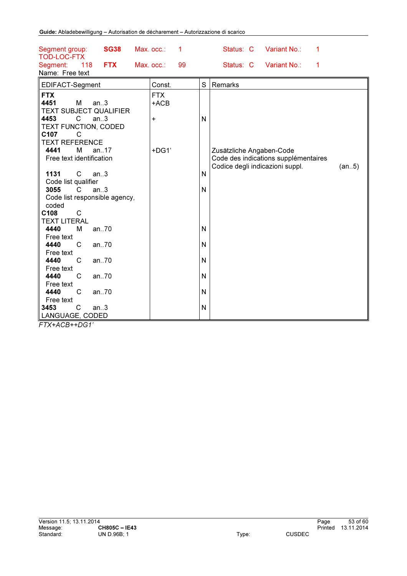| <b>SG38</b><br>Segment group: | Max. occ.:<br>1  |              | Status: C<br>Variant No.:<br>1       |       |
|-------------------------------|------------------|--------------|--------------------------------------|-------|
| <b>TOD-LOC-FTX</b>            |                  |              |                                      |       |
| 118<br><b>FTX</b><br>Segment: | 99<br>Max. occ.: |              | Status: C<br>Variant No.:<br>1       |       |
| Name: Free text               |                  |              |                                      |       |
| EDIFACT-Segment               | Const.           | S            | Remarks                              |       |
| <b>FTX</b>                    | <b>FTX</b>       |              |                                      |       |
| 4451<br>м<br>an.3             | $+ACB$           |              |                                      |       |
| <b>TEXT SUBJECT QUALIFIER</b> |                  |              |                                      |       |
| 4453<br>C<br>an.3             | +                | N            |                                      |       |
| TEXT FUNCTION, CODED          |                  |              |                                      |       |
| C107<br>C                     |                  |              |                                      |       |
| <b>TEXT REFERENCE</b>         |                  |              |                                      |       |
| 4441<br>M<br>an17             | +DG1'            |              | Zusätzliche Angaben-Code             |       |
| Free text identification      |                  |              | Code des indications supplémentaires |       |
|                               |                  |              | Codice degli indicazioni suppl.      | (an5) |
| 1131<br>C<br>an.3             |                  | N            |                                      |       |
| Code list qualifier           |                  |              |                                      |       |
| 3055<br>C<br>an.3             |                  | N            |                                      |       |
| Code list responsible agency, |                  |              |                                      |       |
| coded<br>C108<br>C            |                  |              |                                      |       |
| <b>TEXT LITERAL</b>           |                  |              |                                      |       |
| 4440<br>an70<br>M             |                  | N            |                                      |       |
| Free text                     |                  |              |                                      |       |
| 4440<br>C<br>an70             |                  | N            |                                      |       |
| Free text                     |                  |              |                                      |       |
| 4440<br>C<br>an70             |                  | N            |                                      |       |
| Free text                     |                  |              |                                      |       |
| 4440<br>C<br>an70             |                  | $\mathsf{N}$ |                                      |       |
| Free text                     |                  |              |                                      |       |
| 4440<br>C<br>an70             |                  | $\mathsf{N}$ |                                      |       |
| Free text                     |                  |              |                                      |       |
| $\mathsf{C}$<br>3453<br>an.3  |                  | $\mathsf{N}$ |                                      |       |
| LANGUAGE, CODED               |                  |              |                                      |       |

*FTX+ACB++DG1'*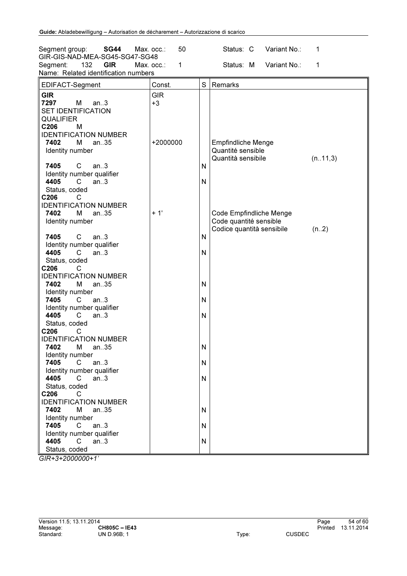| Segment group:<br><b>SG44</b><br>GIR-GIS-NAD-MEA-SG45-SG47-SG48                                                               | 50<br>Max. occ.:   | Variant No.:<br>Status: C<br>1                                                               |
|-------------------------------------------------------------------------------------------------------------------------------|--------------------|----------------------------------------------------------------------------------------------|
| 132<br><b>GIR</b><br>Segment:<br>Name: Related identification numbers                                                         | Max. occ.:<br>1    | Status: M<br>Variant No.:<br>1                                                               |
| EDIFACT-Segment                                                                                                               | Const.             | S<br>Remarks                                                                                 |
| <b>GIR</b><br>7297<br>M<br>an.3<br><b>SET IDENTIFICATION</b><br><b>QUALIFIER</b><br>C206<br>М<br><b>IDENTIFICATION NUMBER</b> | <b>GIR</b><br>$+3$ |                                                                                              |
| 7402<br>an35<br>м<br>Identity number<br>$\mathsf{C}$<br>7405<br>an.3<br>Identity number qualifier                             | +2000000           | <b>Empfindliche Menge</b><br>Quantité sensible<br>Quantità sensibile<br>(n. . 11, 3)<br>N    |
| 4405<br>C<br>an.3<br>Status, coded<br>C206<br>С<br><b>IDENTIFICATION NUMBER</b>                                               |                    | N                                                                                            |
| 7402<br>м<br>an35<br>Identity number<br>7405<br>C<br>an.3                                                                     | $+1'$              | Code Empfindliche Menge<br>Code quantité sensible<br>Codice quantità sensibile<br>(n.2)<br>N |
| Identity number qualifier<br>4405<br>C<br>an.3<br>Status, coded<br>C206<br>C                                                  |                    | N                                                                                            |
| <b>IDENTIFICATION NUMBER</b><br>7402<br>an35<br>м<br>Identity number<br>$\mathsf{C}$<br>7405<br>an.3                          |                    | N<br>N                                                                                       |
| Identity number qualifier<br>4405<br>an.3<br>C<br>Status, coded                                                               |                    | N                                                                                            |
| C206<br>С<br><b>IDENTIFICATION NUMBER</b><br>7402<br>M<br>an35<br>Identity number                                             |                    | N                                                                                            |
| 7405<br>$\overline{C}$<br>an.3<br>Identity number qualifier<br>4405<br>$C$ an3<br>Status, coded                               |                    | N<br>N                                                                                       |
| C206<br>C<br><b>IDENTIFICATION NUMBER</b><br>7402<br>an35<br>м                                                                |                    | N                                                                                            |
| Identity number<br>an.3<br>7405<br>C.<br>Identity number qualifier<br>4405<br>$\mathsf{C}$<br>an.3<br>Status, coded           |                    | N<br>N                                                                                       |

*GIR+3+2000000+1'*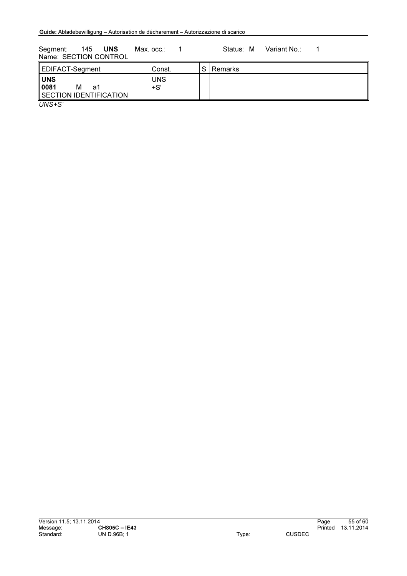Segment: 145 UNS Max. occ.: 1 Status: M Variant No.: 1 Name: SECTION CONTROL

| EDIFACT-Segment                                         | Const.            | C. | <b>Remarks</b> |
|---------------------------------------------------------|-------------------|----|----------------|
| <b>UNS</b><br>0081<br>м<br>a1<br>SECTION IDENTIFICATION | <b>UNS</b><br>+S' |    |                |
| $\left(11110 \cdot 0\right)$                            |                   |    |                |

*UNS+S'*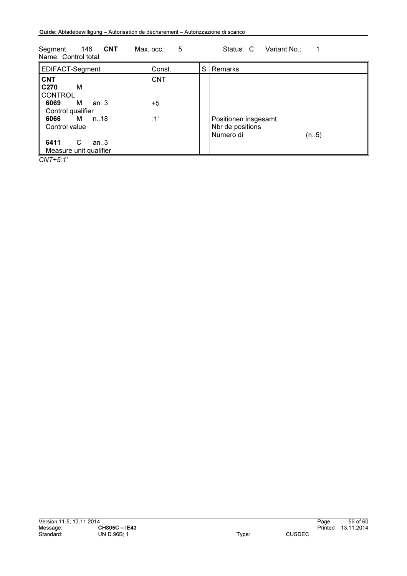| Name: Control total                                                                                                      |                           |   |                                                                |
|--------------------------------------------------------------------------------------------------------------------------|---------------------------|---|----------------------------------------------------------------|
| EDIFACT-Segment                                                                                                          | Const.                    | S | l Remarks                                                      |
| <b>CNT</b><br>M<br>C <sub>270</sub><br><b>CONTROL</b><br>6069 M an3<br>Control qualifier<br>6066 M n.18<br>Control value | <b>CNT</b><br>$+5$<br>:1' |   | Positionen insgesamt<br>Nbr de positions<br>Numero di<br>(n.5) |
| 6411<br>C<br>an3<br>Measure unit qualifier                                                                               |                           |   |                                                                |

Segment: 146 CNT Max. occ.: 5 Status: C Variant No.: 1

*CNT+5:1'*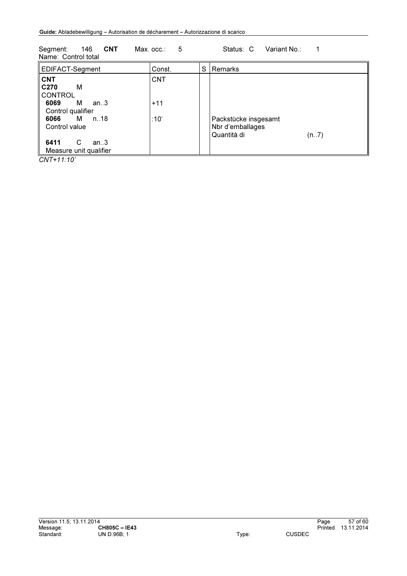| ---------<br>Name: Control total                                                                                                                                                |                             |   |                                                                 |
|---------------------------------------------------------------------------------------------------------------------------------------------------------------------------------|-----------------------------|---|-----------------------------------------------------------------|
| EDIFACT-Segment                                                                                                                                                                 | Const.                      | S | Remarks                                                         |
| <b>CNT</b><br>M<br>C <sub>270</sub><br><b>CONTROL</b><br>М<br>6069<br>an3<br>Control qualifier<br>6066<br>M n18<br>Control value<br>6411<br>C<br>an.3<br>Measure unit qualifier | <b>CNT</b><br>$+11$<br>:10' |   | Packstücke insgesamt<br>Nbr d'emballages<br>Quantità di<br>(n7) |

Segment: 146 CNT Max. occ.: 5 Status: C Variant No.: 1

*CNT+11:10'*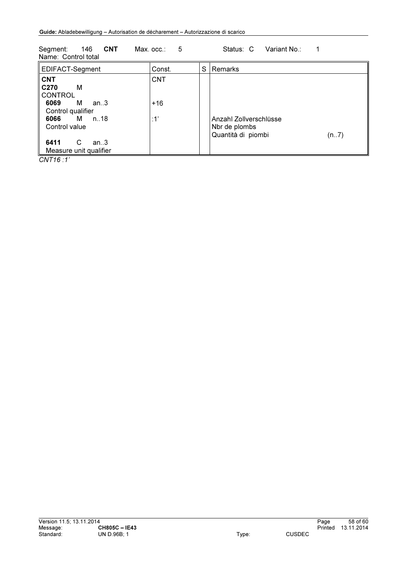| Name: Control total                                                                                                                                                      |                            |   |                                                                       |
|--------------------------------------------------------------------------------------------------------------------------------------------------------------------------|----------------------------|---|-----------------------------------------------------------------------|
| EDIFACT-Segment                                                                                                                                                          | Const.                     | S | Remarks                                                               |
| <b>CNT</b><br>C <sub>270</sub><br>M<br><b>CONTROL</b><br>M an3<br>6069<br>Control qualifier<br>6066 M n18<br>Control value<br>6411<br>C<br>an3<br>Measure unit qualifier | <b>CNT</b><br>$+16$<br>:1' |   | Anzahl Zollverschlüsse<br>Nbr de plombs<br>Quantità di piombi<br>(n7) |

Segment: 146 CNT Max. occ.: 5 Status: C Variant No.: 1

*CNT16 :1'*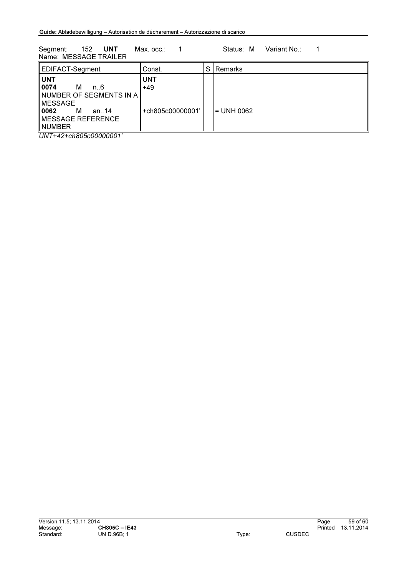Segment: 152 UNT Max. occ.: 1 Status: M Variant No.: 1 Name: MESSAGE TRAILER

| EDIFACT-Segment                                                                     | Const.              | S | Remarks      |
|-------------------------------------------------------------------------------------|---------------------|---|--------------|
| <b>UNT</b><br>   0074<br>м<br>n. 6<br>∥NUMBER OF SEGMENTS IN A                      | <b>UNT</b><br>$+49$ |   |              |
| ll MESSAGE<br>  0062<br>м<br>an14<br>$\parallel$ MESSAGE REFERENCE<br><b>NUMBER</b> | +ch805c00000001'    |   | $=$ UNH 0062 |

*UNT+42+ch805c00000001'*